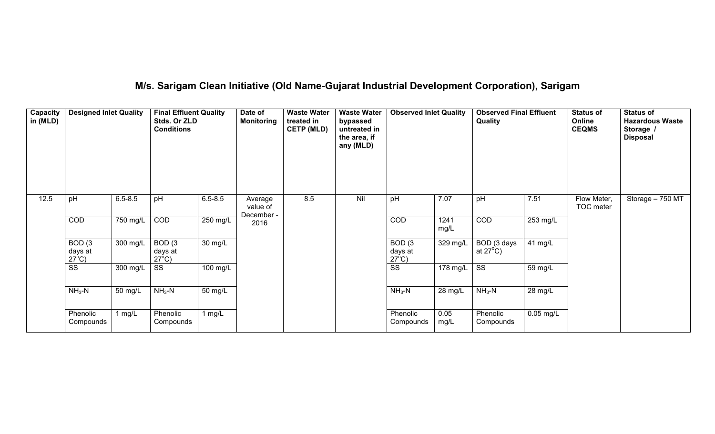## **M/s. Sarigam Clean Initiative (Old Name-Gujarat Industrial Development Corporation), Sarigam**

| Capacity<br>in (MLD) | <b>Designed Inlet Quality</b>                   |             | <b>Final Effluent Quality</b><br>Stds. Or ZLD<br><b>Conditions</b> |             | Date of<br><b>Monitoring</b> | <b>Waste Water</b><br>treated in<br><b>CETP (MLD)</b> | <b>Waste Water</b><br>bypassed<br>untreated in<br>the area, if<br>any (MLD) | <b>Observed Inlet Quality</b>                   |              | <b>Observed Final Effluent</b><br>Quality |                      | <b>Status of</b><br>Online<br><b>CEQMS</b> | <b>Status of</b><br><b>Hazardous Waste</b><br>Storage /<br><b>Disposal</b> |
|----------------------|-------------------------------------------------|-------------|--------------------------------------------------------------------|-------------|------------------------------|-------------------------------------------------------|-----------------------------------------------------------------------------|-------------------------------------------------|--------------|-------------------------------------------|----------------------|--------------------------------------------|----------------------------------------------------------------------------|
| 12.5                 | pH                                              | $6.5 - 8.5$ | pH                                                                 | $6.5 - 8.5$ | Average<br>value of          | 8.5                                                   | Nil                                                                         | pH                                              | 7.07         | pH                                        | 7.51                 | Flow Meter,<br>TOC meter                   | Storage - 750 MT                                                           |
|                      | COD                                             | 750 mg/L    | COD                                                                | 250 mg/L    | December -<br>2016           |                                                       |                                                                             | COD                                             | 1241<br>mg/L | COD                                       | 253 mg/L             |                                            |                                                                            |
|                      | BOD <sub>(3</sub><br>days at<br>$27^{\circ}$ C) | 300 mg/L    | BOD <sub>(3</sub><br>days at<br>$27^{\circ}$ C)                    | 30 mg/L     |                              |                                                       |                                                                             | BOD <sub>(3</sub><br>days at<br>$27^{\circ}$ C) | $329$ mg/L   | BOD (3 days<br>at $27^{\circ}$ C)         | $41$ mg/L            |                                            |                                                                            |
|                      | $\overline{\text{ss}}$                          | 300 mg/L    | SS                                                                 | 100 mg/L    |                              |                                                       |                                                                             | $\overline{\text{SS}}$                          | 178 mg/L     | $\overline{\text{SS}}$                    | 59 mg/L              |                                            |                                                                            |
|                      | $NH3-N$                                         | 50 mg/L     | $NH3-N$                                                            | 50 mg/L     |                              |                                                       |                                                                             | $NH3-N$                                         | 28 mg/L      | $NH3-N$                                   | $\overline{2}8$ mg/L |                                            |                                                                            |
|                      | Phenolic<br>Compounds                           | 1 $mg/L$    | Phenolic<br>Compounds                                              | 1 $mg/L$    |                              |                                                       |                                                                             | Phenolic<br>Compounds                           | 0.05<br>mg/L | Phenolic<br>Compounds                     | $0.05$ mg/L          |                                            |                                                                            |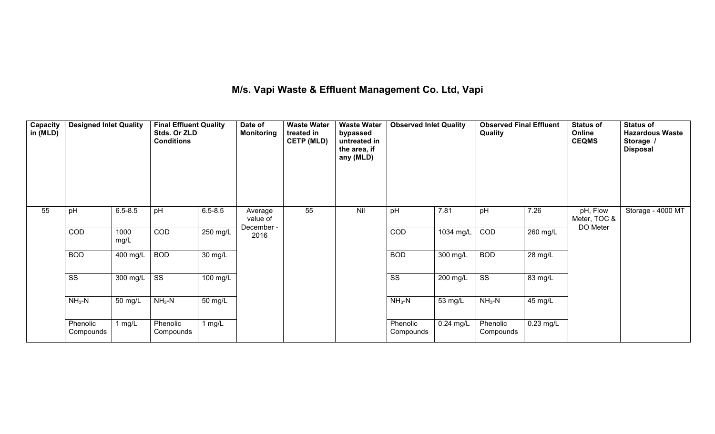### **M/s. Vapi Waste & Effluent Management Co. Ltd, Vapi**

| Capacity<br>in (MLD) | <b>Designed Inlet Quality</b> |              | <b>Final Effluent Quality</b><br>Stds. Or ZLD<br><b>Conditions</b> |             | Date of<br><b>Monitoring</b>      | <b>Waste Water</b><br>treated in<br><b>CETP (MLD)</b> | <b>Waste Water</b><br>bypassed<br>untreated in<br>the area, if<br>any (MLD) | <b>Observed Inlet Quality</b> |             | <b>Observed Final Effluent</b><br>Quality |             | <b>Status of</b><br>Online<br><b>CEQMS</b> | <b>Status of</b><br><b>Hazardous Waste</b><br>Storage /<br><b>Disposal</b> |
|----------------------|-------------------------------|--------------|--------------------------------------------------------------------|-------------|-----------------------------------|-------------------------------------------------------|-----------------------------------------------------------------------------|-------------------------------|-------------|-------------------------------------------|-------------|--------------------------------------------|----------------------------------------------------------------------------|
| 55                   | pH                            | $6.5 - 8.5$  | pH                                                                 | $6.5 - 8.5$ | Average<br>value of<br>December - | 55                                                    | Nil                                                                         | pH                            | 7.81        | pH                                        | 7.26        | pH, Flow<br>Meter, TOC &<br>DO Meter       | Storage - 4000 MT                                                          |
|                      | <b>COD</b>                    | 1000<br>mg/L | COD                                                                | $250$ mg/L  | 2016                              |                                                       |                                                                             | COD                           | 1034 mg/L   | COD                                       | $260$ mg/L  |                                            |                                                                            |
|                      | <b>BOD</b>                    | 400 mg/L     | <b>BOD</b>                                                         | 30 mg/L     |                                   |                                                       |                                                                             | <b>BOD</b>                    | $300$ mg/L  | <b>BOD</b>                                | 28 mg/L     |                                            |                                                                            |
|                      | $\overline{\text{ss}}$        | 300 mg/L     | $\overline{\text{SS}}$                                             | 100 mg/L    |                                   |                                                       |                                                                             | $\overline{\text{ss}}$        | 200 mg/L    | $\overline{\text{ss}}$                    | 83 mg/L     |                                            |                                                                            |
|                      | $NH3-N$                       | 50 mg/L      | $NH3-N$                                                            | 50 mg/L     |                                   |                                                       |                                                                             | $NH3-N$                       | 53 mg/L     | $NH3-N$                                   | 45 mg/L     |                                            |                                                                            |
|                      | Phenolic<br>Compounds         | 1 $mg/L$     | Phenolic<br>Compounds                                              | 1 $mg/L$    |                                   |                                                       |                                                                             | Phenolic<br>Compounds         | $0.24$ mg/L | Phenolic<br>Compounds                     | $0.23$ mg/L |                                            |                                                                            |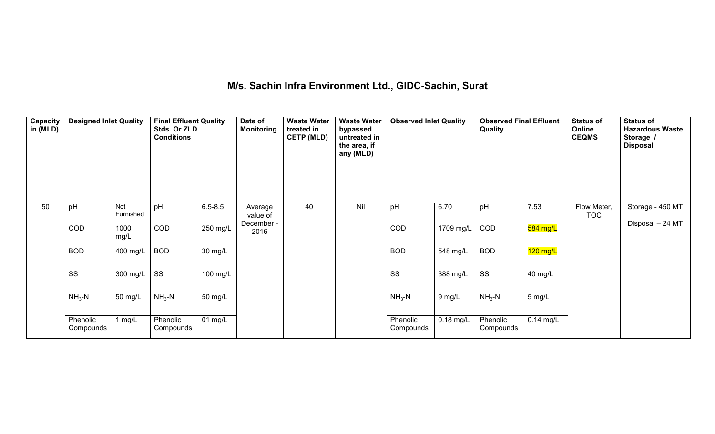# **M/s. Sachin Infra Environment Ltd., GIDC-Sachin, Surat**

| Capacity<br>in (MLD) | <b>Designed Inlet Quality</b> |                  | <b>Final Effluent Quality</b><br>Stds. Or ZLD<br><b>Conditions</b> |                      | Date of<br><b>Monitoring</b> | <b>Waste Water</b><br>treated in<br><b>CETP (MLD)</b> | <b>Waste Water</b><br>bypassed<br>untreated in<br>the area, if<br>any (MLD) | <b>Observed Inlet Quality</b> |             | <b>Observed Final Effluent</b><br>Quality |                       | <b>Status of</b><br>Online<br><b>CEQMS</b> | <b>Status of</b><br><b>Hazardous Waste</b><br>Storage /<br><b>Disposal</b> |
|----------------------|-------------------------------|------------------|--------------------------------------------------------------------|----------------------|------------------------------|-------------------------------------------------------|-----------------------------------------------------------------------------|-------------------------------|-------------|-------------------------------------------|-----------------------|--------------------------------------------|----------------------------------------------------------------------------|
| 50                   | pH                            | Not<br>Furnished | pH                                                                 | $6.5 - 8.5$          | Average<br>value of          | 40                                                    | Nil                                                                         | pH                            | 6.70        | pH                                        | 7.53                  | Flow Meter,<br><b>TOC</b>                  | Storage - 450 MT                                                           |
|                      | COD                           | 1000<br>mg/L     | COD                                                                | $250$ mg/L           | December -<br>2016           |                                                       |                                                                             | COD                           | 1709 mg/L   | COD                                       | 584 mg/L              |                                            | Disposal - 24 MT                                                           |
|                      | <b>BOD</b>                    | $400$ mg/L       | <b>BOD</b>                                                         | 30 mg/L              |                              |                                                       |                                                                             | <b>BOD</b>                    | 548 mg/L    | <b>BOD</b>                                | $\overline{120}$ mg/L |                                            |                                                                            |
|                      | SS                            | 300 mg/L         | SS                                                                 | 100 mg/L             |                              |                                                       |                                                                             | SS                            | 388 mg/L    | $\overline{\text{SS}}$                    | 40 mg/L               |                                            |                                                                            |
|                      | $NH3-N$                       | 50 mg/L          | $NH3-N$                                                            | 50 mg/L              |                              |                                                       |                                                                             | $NH3-N$                       | 9 mg/L      | $NH3-N$                                   | 5 mg/L                |                                            |                                                                            |
|                      | Phenolic<br>Compounds         | 1 $mg/L$         | Phenolic<br>Compounds                                              | $\overline{01}$ mg/L |                              |                                                       |                                                                             | Phenolic<br>Compounds         | $0.18$ mg/L | Phenolic<br>Compounds                     | $0.14$ mg/L           |                                            |                                                                            |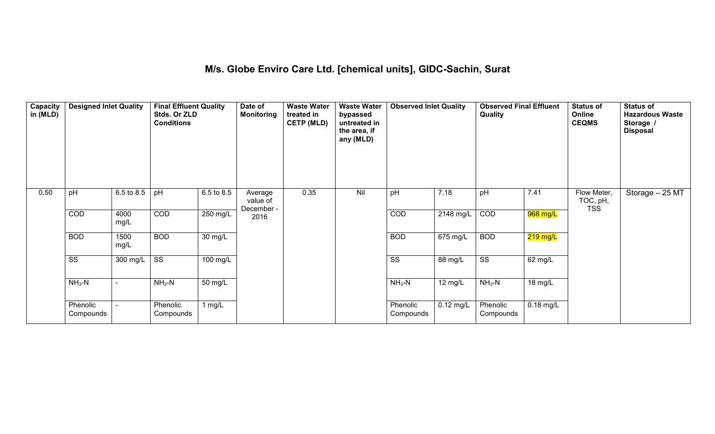### **M/s. Globe Enviro Care Ltd. [chemical units], GIDC-Sachin, Surat**

| Capacity<br>in (MLD) | <b>Designed Inlet Quality</b> |              | <b>Final Effluent Quality</b><br>Stds. Or ZLD<br><b>Conditions</b> |                      | Date of<br><b>Monitoring</b>      | <b>Waste Water</b><br>treated in<br><b>CETP (MLD)</b> | <b>Waste Water</b><br>bypassed<br>untreated in<br>the area, if<br>any (MLD) | <b>Observed Inlet Quality</b> |                       | <b>Observed Final Effluent</b><br>Quality |             | <b>Status of</b><br>Online<br><b>CEQMS</b> | <b>Status of</b><br><b>Hazardous Waste</b><br>Storage /<br><b>Disposal</b> |
|----------------------|-------------------------------|--------------|--------------------------------------------------------------------|----------------------|-----------------------------------|-------------------------------------------------------|-----------------------------------------------------------------------------|-------------------------------|-----------------------|-------------------------------------------|-------------|--------------------------------------------|----------------------------------------------------------------------------|
| 0.50                 | pH                            | 6.5 to 8.5   | pH                                                                 | 6.5 to 8.5           | Average<br>value of<br>December - | 0.35                                                  | Nil                                                                         | pH                            | 7.18                  | pH                                        | 7.41        | Flow Meter,<br>TOC, pH,<br><b>TSS</b>      | Storage - 25 MT                                                            |
|                      | COD                           | 4000<br>mg/L | COD                                                                | 250 mg/L             | 2016                              |                                                       |                                                                             | COD                           | 2148 mg/L             | COD                                       | 968 mg/L    |                                            |                                                                            |
|                      | <b>BOD</b>                    | 1500<br>mg/L | <b>BOD</b>                                                         | $\overline{30}$ mg/L |                                   |                                                       |                                                                             | <b>BOD</b>                    | $\overline{675}$ mg/L | <b>BOD</b>                                | $219$ mg/L  |                                            |                                                                            |
|                      | $\overline{\text{SS}}$        | 300 mg/L     | $\overline{\text{ss}}$                                             | $100$ mg/L           |                                   |                                                       |                                                                             | $\overline{\text{ss}}$        | $88 \text{ mg/L}$     | $\overline{\text{ss}}$                    | 62 mg/L     |                                            |                                                                            |
|                      | $NH3-N$                       |              | $NH3-N$                                                            | 50 mg/L              |                                   |                                                       |                                                                             | $NH3-N$                       | $12 \text{ mg/L}$     | $NH3-N$                                   | 18 mg/L     |                                            |                                                                            |
|                      | Phenolic<br>Compounds         |              | Phenolic<br>Compounds                                              | 1 $mg/L$             |                                   |                                                       |                                                                             | Phenolic<br>Compounds         | $0.12$ mg/L           | Phenolic<br>Compounds                     | $0.18$ mg/L |                                            |                                                                            |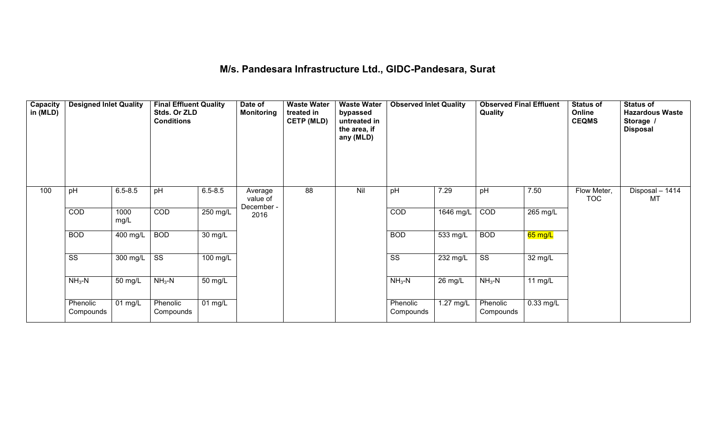## **M/s. Pandesara Infrastructure Ltd., GIDC-Pandesara, Surat**

| Capacity<br>in (MLD) | <b>Designed Inlet Quality</b> |                       | <b>Final Effluent Quality</b><br>Stds. Or ZLD<br><b>Conditions</b> |                      | Date of<br><b>Monitoring</b>      | <b>Waste Water</b><br>treated in<br><b>CETP (MLD)</b> | <b>Waste Water</b><br>bypassed<br>untreated in<br>the area, if<br>any (MLD) | <b>Observed Inlet Quality</b> |           | <b>Observed Final Effluent</b><br>Quality |                      | <b>Status of</b><br>Online<br><b>CEQMS</b> | <b>Status of</b><br><b>Hazardous Waste</b><br>Storage /<br><b>Disposal</b> |
|----------------------|-------------------------------|-----------------------|--------------------------------------------------------------------|----------------------|-----------------------------------|-------------------------------------------------------|-----------------------------------------------------------------------------|-------------------------------|-----------|-------------------------------------------|----------------------|--------------------------------------------|----------------------------------------------------------------------------|
| 100                  | pH                            | $6.5 - 8.5$           | pH                                                                 | $6.5 - 8.5$          | Average<br>value of<br>December - | 88                                                    | Nil                                                                         | pH                            | 7.29      | pH                                        | 7.50                 | Flow Meter,<br><b>TOC</b>                  | Disposal - 1414<br><b>MT</b>                                               |
|                      | COD                           | 1000<br>mg/L          | COD                                                                | 250 mg/L             | 2016                              |                                                       |                                                                             | COD                           | 1646 mg/L | COD                                       | 265 mg/L             |                                            |                                                                            |
|                      | <b>BOD</b>                    | 400 mg/L              | <b>BOD</b>                                                         | $\overline{30}$ mg/L |                                   |                                                       |                                                                             | <b>BOD</b>                    | 533 mg/L  | <b>BOD</b>                                | <mark>65 mg/L</mark> |                                            |                                                                            |
|                      | $\overline{\text{ss}}$        | 300 mg/L              | $\overline{\text{ss}}$                                             | 100 mg/L             |                                   |                                                       |                                                                             | $\overline{\text{SS}}$        | 232 mg/L  | $\overline{\text{ss}}$                    | 32 mg/L              |                                            |                                                                            |
|                      | $NH3-N$                       | 50 mg/L               | $NH3-N$                                                            | 50 mg/L              |                                   |                                                       |                                                                             | $NH3-N$                       | 26 mg/L   | $NH3-N$                                   | 11 $mg/L$            |                                            |                                                                            |
|                      | Phenolic<br>Compounds         | $\overline{0}$ 1 mg/L | Phenolic<br>Compounds                                              | $01$ mg/L            |                                   |                                                       |                                                                             | Phenolic<br>Compounds         | 1.27 mg/L | Phenolic<br>Compounds                     | $0.33$ mg/L          |                                            |                                                                            |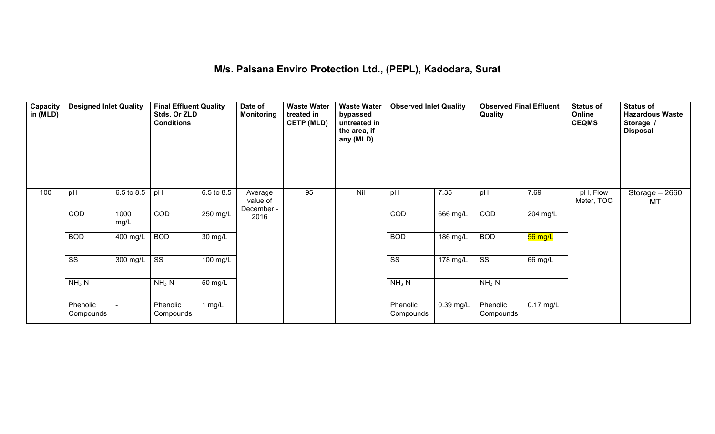#### **M/s. Palsana Enviro Protection Ltd., (PEPL), Kadodara, Surat**

| Capacity<br>in (MLD) | <b>Designed Inlet Quality</b> |              | <b>Final Effluent Quality</b><br>Stds. Or ZLD<br><b>Conditions</b> |                   | Date of<br><b>Monitoring</b>      | <b>Waste Water</b><br>treated in<br><b>CETP (MLD)</b> | <b>Waste Water</b><br>bypassed<br>untreated in<br>the area, if<br>any (MLD) | <b>Observed Inlet Quality</b> |                          | <b>Observed Final Effluent</b><br>Quality |                          | <b>Status of</b><br>Online<br><b>CEQMS</b> | <b>Status of</b><br><b>Hazardous Waste</b><br>Storage /<br><b>Disposal</b> |
|----------------------|-------------------------------|--------------|--------------------------------------------------------------------|-------------------|-----------------------------------|-------------------------------------------------------|-----------------------------------------------------------------------------|-------------------------------|--------------------------|-------------------------------------------|--------------------------|--------------------------------------------|----------------------------------------------------------------------------|
| 100                  | pH                            | 6.5 to 8.5   | pH                                                                 | 6.5 to 8.5        | Average<br>value of<br>December - | 95                                                    | Nil                                                                         | pH                            | 7.35                     | pH                                        | 7.69                     | pH, Flow<br>Meter, TOC                     | Storage - 2660<br><b>MT</b>                                                |
|                      | COD                           | 1000<br>mg/L | COD                                                                | 250 mg/L          | 2016                              |                                                       |                                                                             | COD                           | 666 mg/L                 | COD                                       | 204 mg/L                 |                                            |                                                                            |
|                      | <b>BOD</b>                    | 400 mg/L     | <b>BOD</b>                                                         | $30 \text{ mg/L}$ |                                   |                                                       |                                                                             | <b>BOD</b>                    | 186 mg/L                 | <b>BOD</b>                                | 56 mg/L                  |                                            |                                                                            |
|                      | $\overline{\text{SS}}$        | 300 mg/L     | $\overline{\text{ss}}$                                             | $100$ mg/L        |                                   |                                                       |                                                                             | $\overline{\text{ss}}$        | $178 \text{ mg/L}$       | $\overline{\text{ss}}$                    | 66 mg/L                  |                                            |                                                                            |
|                      | $NH3-N$                       |              | $NH3-N$                                                            | 50 mg/L           |                                   |                                                       |                                                                             | $NH3-N$                       | $\overline{\phantom{0}}$ | $NH3-N$                                   | $\overline{\phantom{a}}$ |                                            |                                                                            |
|                      | Phenolic<br>Compounds         |              | Phenolic<br>Compounds                                              | 1 $mg/L$          |                                   |                                                       |                                                                             | Phenolic<br>Compounds         | 0.39 mg/L                | Phenolic<br>Compounds                     | $0.17 \text{ mg/L}$      |                                            |                                                                            |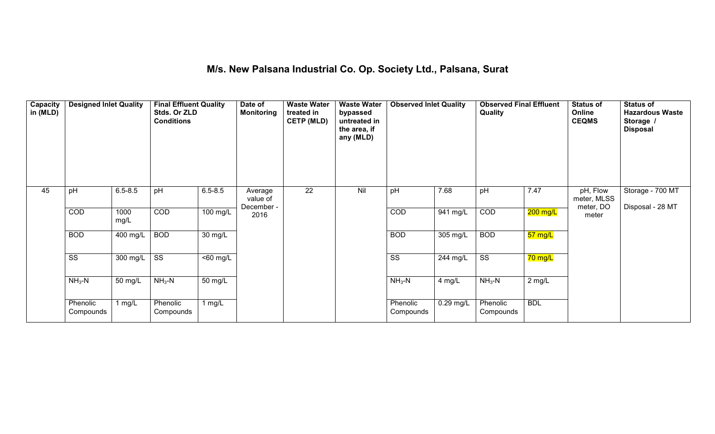#### **M/s. New Palsana Industrial Co. Op. Society Ltd., Palsana, Surat**

| Capacity<br>in (MLD) | <b>Designed Inlet Quality</b> |                       | <b>Final Effluent Quality</b><br>Stds. Or ZLD<br><b>Conditions</b> |                      | Date of<br><b>Monitoring</b>      | <b>Waste Water</b><br>treated in<br><b>CETP (MLD)</b> | <b>Waste Water</b><br>bypassed<br>untreated in<br>the area, if<br>any (MLD) | <b>Observed Inlet Quality</b> |                       | <b>Observed Final Effluent</b><br>Quality |            | <b>Status of</b><br>Online<br><b>CEQMS</b> | <b>Status of</b><br><b>Hazardous Waste</b><br>Storage /<br><b>Disposal</b> |
|----------------------|-------------------------------|-----------------------|--------------------------------------------------------------------|----------------------|-----------------------------------|-------------------------------------------------------|-----------------------------------------------------------------------------|-------------------------------|-----------------------|-------------------------------------------|------------|--------------------------------------------|----------------------------------------------------------------------------|
| 45                   | pH                            | $6.5 - 8.5$           | pH                                                                 | $6.5 - 8.5$          | Average<br>value of<br>December - | $\overline{22}$                                       | Nil                                                                         | pH                            | 7.68                  | pH                                        | 7.47       | pH, Flow<br>meter, MLSS<br>meter, DO       | Storage - 700 MT<br>Disposal - 28 MT                                       |
|                      | COD                           | 1000<br>mg/L          | COD                                                                | 100 mg/L             | 2016                              |                                                       |                                                                             | COD                           | 941 mg/L              | COD                                       | 200 mg/L   | meter                                      |                                                                            |
|                      | <b>BOD</b>                    | $\overline{400}$ mg/L | <b>BOD</b>                                                         | 30 mg/L              |                                   |                                                       |                                                                             | <b>BOD</b>                    | $305 \,\mathrm{mg/L}$ | <b>BOD</b>                                | 57 mg/L    |                                            |                                                                            |
|                      | $\overline{\text{SS}}$        | 300 mg/L              | $\overline{\text{SS}}$                                             | $\overline{50}$ mg/L |                                   |                                                       |                                                                             | $\overline{\text{ss}}$        | 244 mg/L              | $\overline{\text{ss}}$                    | 70 mg/L    |                                            |                                                                            |
|                      | $NH3-N$                       | 50 mg/L               | $NH3-N$                                                            | 50 mg/L              |                                   |                                                       |                                                                             | $NH3-N$                       | 4 mg/L                | $NH3-N$                                   | 2 mg/L     |                                            |                                                                            |
|                      | Phenolic<br>Compounds         | 1 $mg/L$              | Phenolic<br>Compounds                                              | 1 mg/L               |                                   |                                                       |                                                                             | Phenolic<br>Compounds         | $0.29$ mg/L           | Phenolic<br>Compounds                     | <b>BDL</b> |                                            |                                                                            |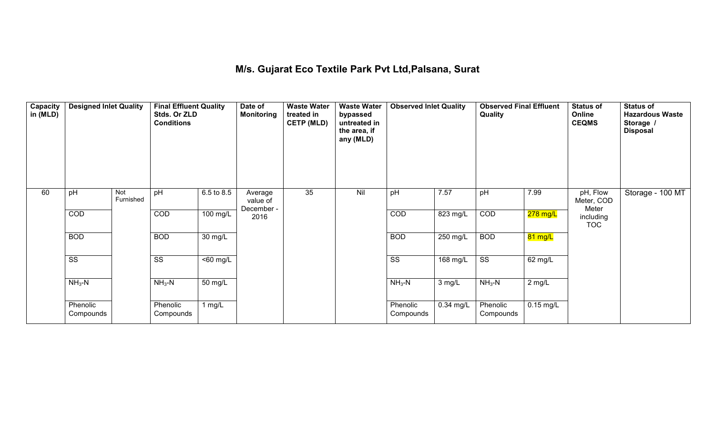## **M/s. Gujarat Eco Textile Park Pvt Ltd,Palsana, Surat**

| Capacity<br>in (MLD) | <b>Designed Inlet Quality</b> |                  | <b>Final Effluent Quality</b><br>Stds. Or ZLD<br><b>Conditions</b> |                      | Date of<br><b>Monitoring</b>      | <b>Waste Water</b><br>treated in<br><b>CETP (MLD)</b> | <b>Waste Water</b><br>bypassed<br>untreated in<br>the area, if<br>any (MLD) | <b>Observed Inlet Quality</b> |                       | <b>Observed Final Effluent</b><br>Quality |             | <b>Status of</b><br>Online<br><b>CEQMS</b> | <b>Status of</b><br><b>Hazardous Waste</b><br>Storage /<br><b>Disposal</b> |
|----------------------|-------------------------------|------------------|--------------------------------------------------------------------|----------------------|-----------------------------------|-------------------------------------------------------|-----------------------------------------------------------------------------|-------------------------------|-----------------------|-------------------------------------------|-------------|--------------------------------------------|----------------------------------------------------------------------------|
| 60                   | pH                            | Not<br>Furnished | pH                                                                 | 6.5 to 8.5           | Average<br>value of<br>December - | 35                                                    | Nil                                                                         | pH                            | 7.57                  | pH                                        | 7.99        | pH, Flow<br>Meter, COD<br>Meter            | Storage - 100 MT                                                           |
|                      | <b>COD</b>                    |                  | COD                                                                | 100 mg/L             | 2016                              |                                                       |                                                                             | COD                           | $\overline{823}$ mg/L | COD                                       | 278 mg/L    | including<br><b>TOC</b>                    |                                                                            |
|                      | <b>BOD</b>                    |                  | <b>BOD</b>                                                         | $30 \text{ mg/L}$    |                                   |                                                       |                                                                             | <b>BOD</b>                    | $250$ mg/L            | <b>BOD</b>                                | 81 mg/L     |                                            |                                                                            |
|                      | $\overline{\text{ss}}$        |                  | $\overline{\text{ss}}$                                             | $\overline{50}$ mg/L |                                   |                                                       |                                                                             | $\overline{\text{SS}}$        | $168$ mg/L            | $\overline{\text{SS}}$                    | 62 mg/L     |                                            |                                                                            |
|                      | $NH3-N$                       |                  | $NH3-N$                                                            | 50 mg/L              |                                   |                                                       |                                                                             | $NH3-N$                       | 3 mg/L                | $NH3-N$                                   | 2 mg/L      |                                            |                                                                            |
|                      | Phenolic<br>Compounds         |                  | Phenolic<br>Compounds                                              | 1 mg/L               |                                   |                                                       |                                                                             | Phenolic<br>Compounds         | 0.34 mg/L             | Phenolic<br>Compounds                     | $0.15$ mg/L |                                            |                                                                            |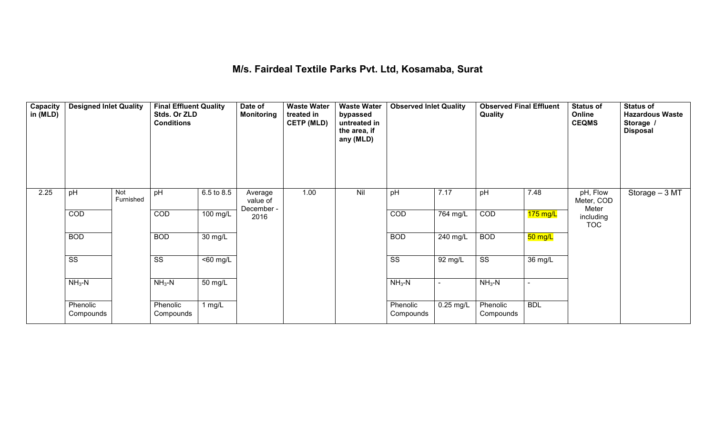#### **M/s. Fairdeal Textile Parks Pvt. Ltd, Kosamaba, Surat**

| Capacity<br>in (MLD) | <b>Designed Inlet Quality</b> |                  | <b>Final Effluent Quality</b><br>Stds. Or ZLD<br><b>Conditions</b> |                              | Date of<br><b>Monitoring</b>      | <b>Waste Water</b><br>treated in<br><b>CETP (MLD)</b> | <b>Waste Water</b><br>bypassed<br>untreated in<br>the area, if<br>any (MLD) | <b>Observed Inlet Quality</b> |                       | <b>Observed Final Effluent</b><br>Quality |                | <b>Status of</b><br>Online<br><b>CEQMS</b> | <b>Status of</b><br><b>Hazardous Waste</b><br>Storage /<br><b>Disposal</b> |
|----------------------|-------------------------------|------------------|--------------------------------------------------------------------|------------------------------|-----------------------------------|-------------------------------------------------------|-----------------------------------------------------------------------------|-------------------------------|-----------------------|-------------------------------------------|----------------|--------------------------------------------|----------------------------------------------------------------------------|
| 2.25                 | pH                            | Not<br>Furnished | pH                                                                 | 6.5 to 8.5                   | Average<br>value of<br>December - | 1.00                                                  | Nil                                                                         | pH                            | 7.17                  | pH                                        | 7.48           | pH, Flow<br>Meter, COD<br>Meter            | Storage - 3 MT                                                             |
|                      | COD                           |                  | COD                                                                | 100 mg/L                     | 2016                              |                                                       |                                                                             | COD                           | $\overline{764}$ mg/L | COD                                       | 175 mg/L       | including<br><b>TOC</b>                    |                                                                            |
|                      | <b>BOD</b>                    |                  | <b>BOD</b>                                                         | 30 mg/L                      |                                   |                                                       |                                                                             | <b>BOD</b>                    | 240 mg/L              | <b>BOD</b>                                | 50 mg/L        |                                            |                                                                            |
|                      | $\overline{\text{ss}}$        |                  | $\overline{\text{ss}}$                                             | $\overline{50 \text{ mg}}$ L |                                   |                                                       |                                                                             | $\overline{\text{ss}}$        | $\overline{92}$ mg/L  | $\overline{\text{ss}}$                    | 36 mg/L        |                                            |                                                                            |
|                      | $NH3-N$                       |                  | $NH3-N$                                                            | 50 mg/L                      |                                   |                                                       |                                                                             | $NH3-N$                       | $\blacksquare$        | $NH3-N$                                   | $\blacksquare$ |                                            |                                                                            |
|                      | Phenolic<br>Compounds         |                  | Phenolic<br>Compounds                                              | 1 mg/L                       |                                   |                                                       |                                                                             | Phenolic<br>Compounds         | $0.25$ mg/L           | Phenolic<br>Compounds                     | <b>BDL</b>     |                                            |                                                                            |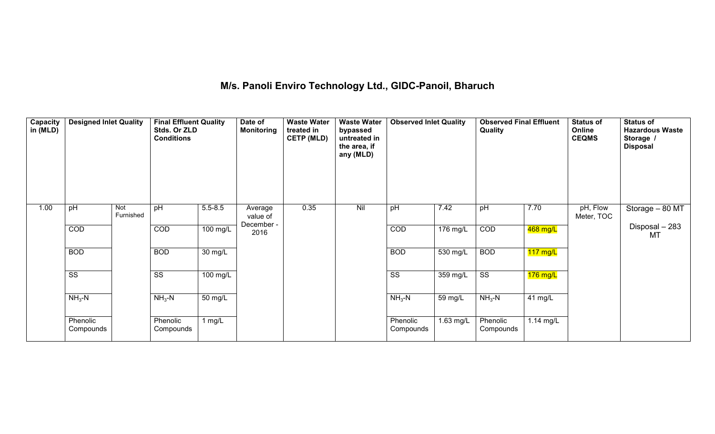## **M/s. Panoli Enviro Technology Ltd., GIDC-Panoil, Bharuch**

| Capacity<br>in (MLD) | <b>Designed Inlet Quality</b> |                  | <b>Final Effluent Quality</b><br>Stds. Or ZLD<br><b>Conditions</b> |                      | Date of<br><b>Monitoring</b>      | <b>Waste Water</b><br>treated in<br><b>CETP (MLD)</b> | <b>Waste Water</b><br>bypassed<br>untreated in<br>the area, if<br>any (MLD) | <b>Observed Inlet Quality</b> |           | <b>Observed Final Effluent</b><br>Quality |                    | <b>Status of</b><br>Online<br><b>CEQMS</b> | <b>Status of</b><br><b>Hazardous Waste</b><br>Storage /<br><b>Disposal</b> |
|----------------------|-------------------------------|------------------|--------------------------------------------------------------------|----------------------|-----------------------------------|-------------------------------------------------------|-----------------------------------------------------------------------------|-------------------------------|-----------|-------------------------------------------|--------------------|--------------------------------------------|----------------------------------------------------------------------------|
| 1.00                 | pH                            | Not<br>Furnished | pH                                                                 | $5.5 - 8.5$          | Average<br>value of<br>December - | 0.35                                                  | Nil                                                                         | pH                            | 7.42      | pH                                        | 7.70               | pH, Flow<br>Meter, TOC                     | Storage - 80 MT                                                            |
|                      | COD                           |                  | COD                                                                | 100 mg/L             | 2016                              |                                                       |                                                                             | COD                           | 176 mg/L  | COD                                       | 468 mg/L           |                                            | Disposal - 283<br>MT                                                       |
|                      | <b>BOD</b>                    |                  | <b>BOD</b>                                                         | $\overline{30}$ mg/L |                                   |                                                       |                                                                             | <b>BOD</b>                    | 530 mg/L  | <b>BOD</b>                                | $117 \text{ mg/L}$ |                                            |                                                                            |
|                      | $\overline{\text{SS}}$        |                  | $\overline{\text{SS}}$                                             | 100 mg/L             |                                   |                                                       |                                                                             | $\overline{\text{SS}}$        | 359 mg/L  | $\overline{\text{ss}}$                    | $176$ mg/L         |                                            |                                                                            |
|                      | $NH3-N$                       |                  | $NH3-N$                                                            | 50 mg/L              |                                   |                                                       |                                                                             | $NH3-N$                       | 59 mg/L   | $NH3-N$                                   | 41 mg/L            |                                            |                                                                            |
|                      | Phenolic<br>Compounds         |                  | Phenolic<br>Compounds                                              | 1 mg/L               |                                   |                                                       |                                                                             | Phenolic<br>Compounds         | 1.63 mg/L | Phenolic<br>Compounds                     | $1.14$ mg/L        |                                            |                                                                            |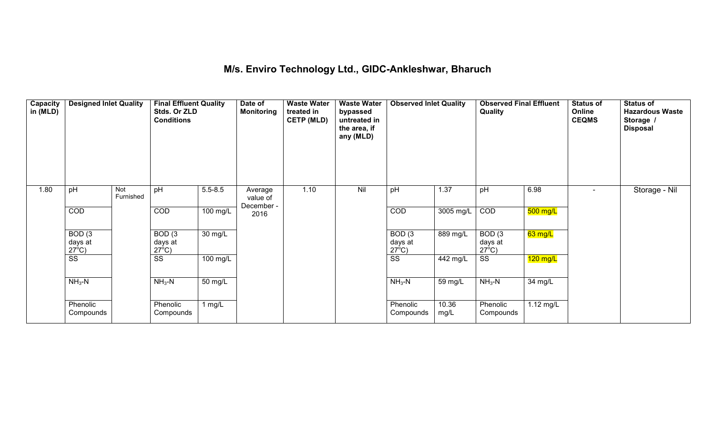### **M/s. Enviro Technology Ltd., GIDC-Ankleshwar, Bharuch**

| Capacity<br>in (MLD) | <b>Designed Inlet Quality</b>        |                  | <b>Final Effluent Quality</b><br>Stds. Or ZLD<br><b>Conditions</b> |                      | Date of<br><b>Monitoring</b> | <b>Waste Water</b><br>treated in<br><b>CETP (MLD)</b> | <b>Waste Water</b><br>bypassed<br>untreated in<br>the area, if<br>any (MLD) | <b>Observed Inlet Quality</b> |               | <b>Observed Final Effluent</b><br>Quality |            | <b>Status of</b><br>Online<br><b>CEQMS</b> | <b>Status of</b><br><b>Hazardous Waste</b><br>Storage /<br><b>Disposal</b> |
|----------------------|--------------------------------------|------------------|--------------------------------------------------------------------|----------------------|------------------------------|-------------------------------------------------------|-----------------------------------------------------------------------------|-------------------------------|---------------|-------------------------------------------|------------|--------------------------------------------|----------------------------------------------------------------------------|
| 1.80                 | pH                                   | Not<br>Furnished | pH                                                                 | $5.5 - 8.5$          | Average<br>value of          | 1.10                                                  | Nil                                                                         | pH                            | 1.37          | pH                                        | 6.98       |                                            | Storage - Nil                                                              |
|                      | COD                                  |                  | COD                                                                | 100 mg/L             | December -<br>2016           |                                                       |                                                                             | COD                           | 3005 mg/L     | COD                                       | $500$ mg/L |                                            |                                                                            |
|                      | BOD(3)<br>days at<br>$27^{\circ}$ C) |                  | BOD <sub>(3</sub><br>days at<br>$27^{\circ}$ C)                    | $\overline{30}$ mg/L |                              |                                                       |                                                                             | BOD(3)<br>days at             | $889$ mg/L    | BOD(3)<br>days at<br>$27^{\circ}$ C)      | 63 mg/L    |                                            |                                                                            |
|                      | $\overline{\text{SS}}$               |                  | $\overline{\text{ss}}$                                             | 100 mg/L             |                              |                                                       |                                                                             | <u>27<sup>6</sup>C)</u><br>SS | 442 mg/L      | $\overline{\text{ss}}$                    | $120$ mg/L |                                            |                                                                            |
|                      | $NH3-N$                              |                  | $NH3-N$                                                            | $\overline{50}$ mg/L |                              |                                                       |                                                                             | $NH3-N$                       | 59 mg/L       | $NH3-N$                                   | 34 mg/L    |                                            |                                                                            |
|                      | Phenolic<br>Compounds                |                  | Phenolic<br>Compounds                                              | 1 $mg/L$             |                              |                                                       |                                                                             | Phenolic<br>Compounds         | 10.36<br>mg/L | Phenolic<br>Compounds                     | 1.12 mg/L  |                                            |                                                                            |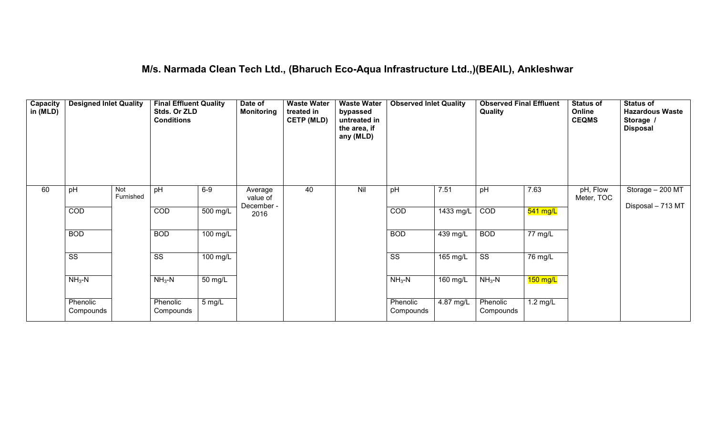### **M/s. Narmada Clean Tech Ltd., (Bharuch Eco-Aqua Infrastructure Ltd.,)(BEAIL), Ankleshwar**

| Capacity<br>in (MLD) | <b>Designed Inlet Quality</b> |                  | <b>Final Effluent Quality</b><br>Stds. Or ZLD<br><b>Conditions</b> |                      | Date of<br><b>Monitoring</b>      | <b>Waste Water</b><br>treated in<br><b>CETP (MLD)</b> | <b>Waste Water</b><br>bypassed<br>untreated in<br>the area, if<br>any (MLD) | <b>Observed Inlet Quality</b> |                    | <b>Observed Final Effluent</b><br>Quality |                    | <b>Status of</b><br>Online<br><b>CEQMS</b> | <b>Status of</b><br><b>Hazardous Waste</b><br>Storage /<br><b>Disposal</b> |
|----------------------|-------------------------------|------------------|--------------------------------------------------------------------|----------------------|-----------------------------------|-------------------------------------------------------|-----------------------------------------------------------------------------|-------------------------------|--------------------|-------------------------------------------|--------------------|--------------------------------------------|----------------------------------------------------------------------------|
| 60                   | pH                            | Not<br>Furnished | pH                                                                 | $6-9$                | Average<br>value of<br>December - | 40                                                    | Nil                                                                         | pH                            | 7.51               | pH                                        | 7.63               | pH, Flow<br>Meter, TOC                     | Storage - 200 MT<br>Disposal - 713 MT                                      |
|                      | COD                           |                  | COD                                                                | 500 mg/L             | 2016                              |                                                       |                                                                             | COD                           | 1433 mg/L          | COD                                       | 541 mg/L           |                                            |                                                                            |
|                      | <b>BOD</b>                    |                  | <b>BOD</b>                                                         | 100 mg/L             |                                   |                                                       |                                                                             | <b>BOD</b>                    | 439 mg/L           | <b>BOD</b>                                | 77 mg/L            |                                            |                                                                            |
|                      | $\overline{\text{ss}}$        |                  | $\overline{\text{SS}}$                                             | $100$ mg/L           |                                   |                                                       |                                                                             | $\overline{\text{ss}}$        | $165 \text{ mg/L}$ | $\overline{\text{ss}}$                    | 76 mg/L            |                                            |                                                                            |
|                      | $NH3-N$                       |                  | $NH3-N$                                                            | $\overline{50}$ mg/L |                                   |                                                       |                                                                             | $NH3-N$                       | $160$ mg/L         | $NH3-N$                                   | $150$ mg/L         |                                            |                                                                            |
|                      | Phenolic<br>Compounds         |                  | Phenolic<br>Compounds                                              | $5 \text{ mg/L}$     |                                   |                                                       |                                                                             | Phenolic<br>Compounds         | 4.87 mg/L          | Phenolic<br>Compounds                     | $1.2 \text{ mg/L}$ |                                            |                                                                            |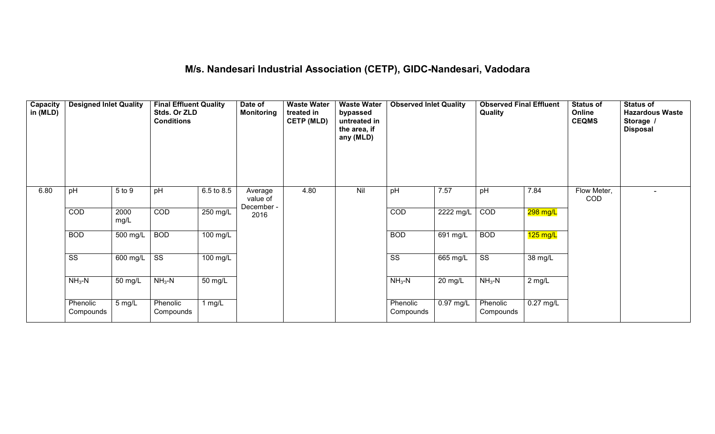### **M/s. Nandesari Industrial Association (CETP), GIDC-Nandesari, Vadodara**

| Capacity<br>in (MLD) | <b>Designed Inlet Quality</b> |                  | <b>Final Effluent Quality</b><br>Stds. Or ZLD<br><b>Conditions</b> |            | Date of<br><b>Monitoring</b>      | <b>Waste Water</b><br>treated in<br><b>CETP (MLD)</b> | <b>Waste Water</b><br>bypassed<br>untreated in<br>the area, if<br>any (MLD) | <b>Observed Inlet Quality</b> |             | <b>Observed Final Effluent</b><br>Quality |                     | <b>Status of</b><br>Online<br><b>CEQMS</b> | <b>Status of</b><br><b>Hazardous Waste</b><br>Storage /<br><b>Disposal</b> |
|----------------------|-------------------------------|------------------|--------------------------------------------------------------------|------------|-----------------------------------|-------------------------------------------------------|-----------------------------------------------------------------------------|-------------------------------|-------------|-------------------------------------------|---------------------|--------------------------------------------|----------------------------------------------------------------------------|
| 6.80                 | pH                            | 5 to 9           | pH                                                                 | 6.5 to 8.5 | Average<br>value of<br>December - | 4.80                                                  | Nil                                                                         | pH                            | 7.57        | pH                                        | 7.84                | Flow Meter,<br>COD                         | $\sim$                                                                     |
|                      | COD                           | 2000<br>mg/L     | COD                                                                | 250 mg/L   | 2016                              |                                                       |                                                                             | COD                           | $2222$ mg/L | COD                                       | 298 mg/L            |                                            |                                                                            |
|                      | <b>BOD</b>                    | 500 mg/L         | <b>BOD</b>                                                         | $100$ mg/L |                                   |                                                       |                                                                             | <b>BOD</b>                    | 691 mg/L    | <b>BOD</b>                                | $125$ mg/L          |                                            |                                                                            |
|                      | $\overline{\text{ss}}$        | 600 mg/L         | $\overline{\text{ss}}$                                             | $100$ mg/L |                                   |                                                       |                                                                             | $\overline{\text{ss}}$        | 665 mg/L    | $\overline{\text{ss}}$                    | 38 mg/L             |                                            |                                                                            |
|                      | $NH3-N$                       | 50 mg/L          | $NH3-N$                                                            | 50 mg/L    |                                   |                                                       |                                                                             | $NH3-N$                       | 20 mg/L     | $NH3-N$                                   | 2 mg/L              |                                            |                                                                            |
|                      | Phenolic<br>Compounds         | $5 \text{ mg/L}$ | Phenolic<br>Compounds                                              | 1 $mg/L$   |                                   |                                                       |                                                                             | Phenolic<br>Compounds         | $0.97$ mg/L | Phenolic<br>Compounds                     | $0.27 \text{ mg/L}$ |                                            |                                                                            |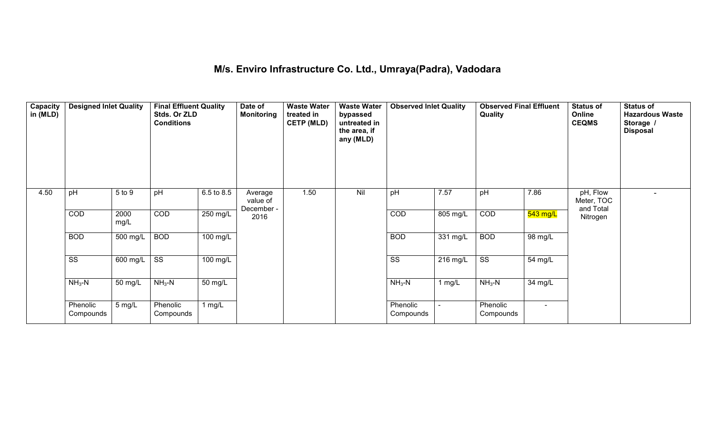#### **M/s. Enviro Infrastructure Co. Ltd., Umraya(Padra), Vadodara**

| Capacity<br>in (MLD) | <b>Designed Inlet Quality</b> |                  | <b>Final Effluent Quality</b><br>Stds. Or ZLD<br><b>Conditions</b> |                    | Date of<br><b>Monitoring</b>      | <b>Waste Water</b><br>treated in<br><b>CETP (MLD)</b> | <b>Waste Water</b><br>bypassed<br>untreated in<br>the area, if<br>any (MLD) | <b>Observed Inlet Quality</b> |          | <b>Observed Final Effluent</b><br>Quality |                | <b>Status of</b><br>Online<br><b>CEQMS</b> | <b>Status of</b><br><b>Hazardous Waste</b><br>Storage /<br><b>Disposal</b> |
|----------------------|-------------------------------|------------------|--------------------------------------------------------------------|--------------------|-----------------------------------|-------------------------------------------------------|-----------------------------------------------------------------------------|-------------------------------|----------|-------------------------------------------|----------------|--------------------------------------------|----------------------------------------------------------------------------|
| 4.50                 | pH                            | 5 to 9           | pH                                                                 | 6.5 to 8.5         | Average<br>value of<br>December - | 1.50                                                  | Nil                                                                         | pH                            | 7.57     | pH                                        | 7.86           | pH, Flow<br>Meter, TOC<br>and Total        |                                                                            |
|                      | COD                           | 2000<br>mg/L     | COD                                                                | 250 mg/L           | 2016                              |                                                       |                                                                             | COD                           | 805 mg/L | COD                                       | $543$ mg/L     | Nitrogen                                   |                                                                            |
|                      | <b>BOD</b>                    | 500 mg/L         | <b>BOD</b>                                                         | $100 \text{ mg/L}$ |                                   |                                                       |                                                                             | <b>BOD</b>                    | 331 mg/L | <b>BOD</b>                                | 98 mg/L        |                                            |                                                                            |
|                      | $\overline{\text{ss}}$        | 600 mg/L         | $\overline{\text{ss}}$                                             | 100 mg/L           |                                   |                                                       |                                                                             | $\overline{\text{ss}}$        | 216 mg/L | $\overline{\text{ss}}$                    | 54 mg/L        |                                            |                                                                            |
|                      | $NH3-N$                       | 50 mg/L          | $NH3-N$                                                            | 50 mg/L            |                                   |                                                       |                                                                             | $NH3-N$                       | $1$ mg/L | $NH3-N$                                   | 34 mg/L        |                                            |                                                                            |
|                      | Phenolic<br>Compounds         | $5 \text{ mg/L}$ | Phenolic<br>Compounds                                              | 1 $mg/L$           |                                   |                                                       |                                                                             | Phenolic<br>Compounds         |          | Phenolic<br>Compounds                     | $\blacksquare$ |                                            |                                                                            |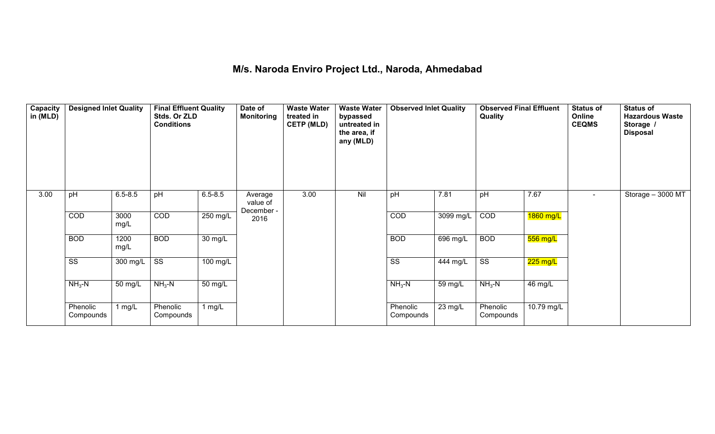#### **M/s. Naroda Enviro Project Ltd., Naroda, Ahmedabad**

| <b>Capacity</b><br>in (MLD) | <b>Designed Inlet Quality</b> |              | <b>Final Effluent Quality</b><br>Stds. Or ZLD<br><b>Conditions</b> |                   | Date of<br><b>Monitoring</b>      | <b>Waste Water</b><br>treated in<br><b>CETP (MLD)</b> | <b>Waste Water</b><br>bypassed<br>untreated in<br>the area, if<br>any (MLD) | <b>Observed Inlet Quality</b> |                       | <b>Observed Final Effluent</b><br>Quality |                    | <b>Status of</b><br>Online<br><b>CEQMS</b> | <b>Status of</b><br><b>Hazardous Waste</b><br>Storage /<br><b>Disposal</b> |
|-----------------------------|-------------------------------|--------------|--------------------------------------------------------------------|-------------------|-----------------------------------|-------------------------------------------------------|-----------------------------------------------------------------------------|-------------------------------|-----------------------|-------------------------------------------|--------------------|--------------------------------------------|----------------------------------------------------------------------------|
| 3.00                        | pH                            | $6.5 - 8.5$  | pH                                                                 | $6.5 - 8.5$       | Average<br>value of<br>December - | 3.00                                                  | Nil                                                                         | pH                            | 7.81                  | pH                                        | 7.67               | $\sim$                                     | Storage - 3000 MT                                                          |
|                             | <b>COD</b>                    | 3000<br>mg/L | COD                                                                | 250 mg/L          | 2016                              |                                                       |                                                                             | COD                           | 3099 mg/L             | COD                                       | 1860 mg/L          |                                            |                                                                            |
|                             | <b>BOD</b>                    | 1200<br>mg/L | <b>BOD</b>                                                         | $30 \text{ mg/L}$ |                                   |                                                       |                                                                             | <b>BOD</b>                    | $\overline{696}$ mg/L | <b>BOD</b>                                | $556$ mg/L         |                                            |                                                                            |
|                             | $\overline{\text{ss}}$        | 300 mg/L     | $\overline{\text{ss}}$                                             | 100 mg/L          |                                   |                                                       |                                                                             | $\overline{\text{SS}}$        | 444 mg/L              | $\overline{\text{ss}}$                    | $225 \text{ mg/L}$ |                                            |                                                                            |
|                             | $NH3-N$                       | 50 mg/L      | $NH3-N$                                                            | 50 mg/L           |                                   |                                                       |                                                                             | $NH3-N$                       | 59 mg/L               | $NH3-N$                                   | 46 mg/L            |                                            |                                                                            |
|                             | Phenolic<br>Compounds         | 1 $mg/L$     | Phenolic<br>Compounds                                              | 1 $mg/L$          |                                   |                                                       |                                                                             | Phenolic<br>Compounds         | $\overline{2}3$ mg/L  | Phenolic<br>Compounds                     | 10.79 mg/L         |                                            |                                                                            |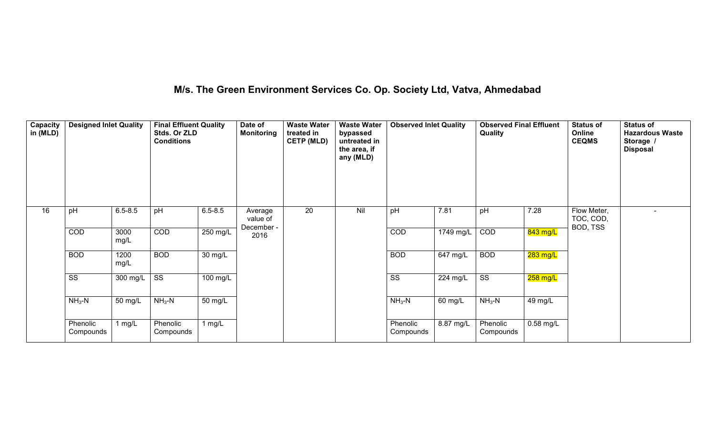## **M/s. The Green Environment Services Co. Op. Society Ltd, Vatva, Ahmedabad**

| Capacity<br>in (MLD) | <b>Designed Inlet Quality</b> |              | <b>Final Effluent Quality</b><br>Stds. Or ZLD<br><b>Conditions</b> |                      | Date of<br><b>Monitoring</b> | <b>Waste Water</b><br>treated in<br><b>CETP (MLD)</b> | <b>Waste Water</b><br>bypassed<br>untreated in<br>the area, if<br>any (MLD) | <b>Observed Inlet Quality</b> |           | <b>Observed Final Effluent</b><br>Quality |            | <b>Status of</b><br>Online<br><b>CEQMS</b> | <b>Status of</b><br><b>Hazardous Waste</b><br>Storage /<br><b>Disposal</b> |
|----------------------|-------------------------------|--------------|--------------------------------------------------------------------|----------------------|------------------------------|-------------------------------------------------------|-----------------------------------------------------------------------------|-------------------------------|-----------|-------------------------------------------|------------|--------------------------------------------|----------------------------------------------------------------------------|
| 16                   | pH                            | $6.5 - 8.5$  | pH                                                                 | $6.5 - 8.5$          | Average<br>value of          | 20                                                    | Nil                                                                         | pH                            | 7.81      | pH                                        | 7.28       | Flow Meter,<br>TOC, COD,<br>BOD, TSS       |                                                                            |
|                      | COD                           | 3000<br>mg/L | COD                                                                | 250 mg/L             | December -<br>2016           |                                                       |                                                                             | COD                           | 1749 mg/L | COD                                       | 843 mg/L   |                                            |                                                                            |
|                      | <b>BOD</b>                    | 1200<br>mg/L | <b>BOD</b>                                                         | $\overline{30}$ mg/L |                              |                                                       |                                                                             | <b>BOD</b>                    | 647 mg/L  | <b>BOD</b>                                | $283$ mg/L |                                            |                                                                            |
|                      | $\overline{\text{SS}}$        | 300 mg/L     | $\overline{\text{ss}}$                                             | 100 mg/L             |                              |                                                       |                                                                             | $\overline{\text{ss}}$        | 224 mg/L  | $\overline{\text{ss}}$                    | $258$ mg/L |                                            |                                                                            |
|                      | $NH3-N$                       | 50 mg/L      | $NH3-N$                                                            | 50 mg/L              |                              |                                                       |                                                                             | $NH3-N$                       | 60 mg/L   | $NH3-N$                                   | 49 mg/L    |                                            |                                                                            |
|                      | Phenolic<br>Compounds         | 1 $mg/L$     | Phenolic<br>Compounds                                              | 1 $mg/L$             |                              |                                                       |                                                                             | Phenolic<br>Compounds         | 8.87 mg/L | Phenolic<br>Compounds                     | 0.58 mg/L  |                                            |                                                                            |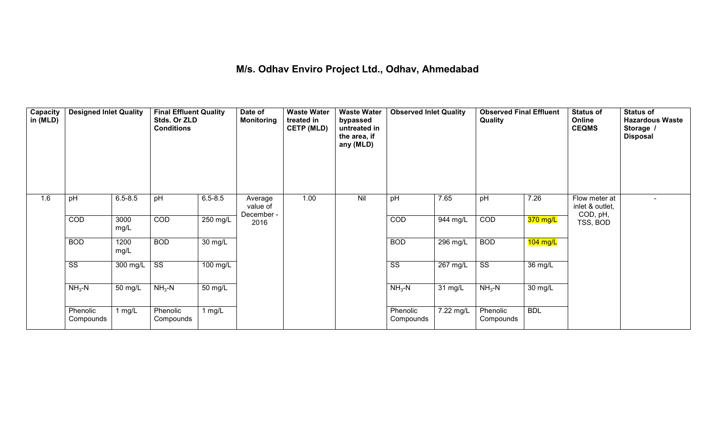#### **M/s. Odhav Enviro Project Ltd., Odhav, Ahmedabad**

| Capacity<br>in (MLD) | <b>Designed Inlet Quality</b> |                      | <b>Final Effluent Quality</b><br>Stds. Or ZLD<br><b>Conditions</b> |                      | Date of<br><b>Monitoring</b> | <b>Waste Water</b><br>treated in<br><b>CETP (MLD)</b> | <b>Waste Water</b><br>bypassed<br>untreated in<br>the area, if<br>any (MLD) | <b>Observed Inlet Quality</b> |           | <b>Observed Final Effluent</b><br>Quality |            | <b>Status of</b><br>Online<br><b>CEQMS</b> | <b>Status of</b><br><b>Hazardous Waste</b><br>Storage /<br><b>Disposal</b> |
|----------------------|-------------------------------|----------------------|--------------------------------------------------------------------|----------------------|------------------------------|-------------------------------------------------------|-----------------------------------------------------------------------------|-------------------------------|-----------|-------------------------------------------|------------|--------------------------------------------|----------------------------------------------------------------------------|
| 1.6                  | pH                            | $6.5 - 8.5$          | pH                                                                 | $6.5 - 8.5$          | Average<br>value of          | 1.00                                                  | Nil                                                                         | pH                            | 7.65      | pH                                        | 7.26       | Flow meter at<br>inlet & outlet,           |                                                                            |
|                      | COD                           | 3000<br>mg/L         | COD                                                                | 250 mg/L             | December -<br>2016           |                                                       |                                                                             | COD                           | 944 mg/L  | COD                                       | $370$ mg/L | COD, pH,<br>TSS, BOD                       |                                                                            |
|                      | <b>BOD</b>                    | 1200<br>mg/L         | <b>BOD</b>                                                         | 30 mg/L              |                              |                                                       |                                                                             | <b>BOD</b>                    | 296 mg/L  | <b>BOD</b>                                | $104$ mg/L |                                            |                                                                            |
|                      | $\overline{\text{ss}}$        | 300 mg/L             | $\overline{\text{SS}}$                                             | 100 mg/L             |                              |                                                       |                                                                             | $\overline{\text{ss}}$        | 267 mg/L  | $\overline{\text{ss}}$                    | 36 mg/L    |                                            |                                                                            |
|                      | $NH3-N$                       | $\overline{50}$ mg/L | $NH3-N$                                                            | $\overline{50}$ mg/L |                              |                                                       |                                                                             | $NH3-N$                       | 31 mg/L   | $NH3-N$                                   | 30 mg/L    |                                            |                                                                            |
|                      | Phenolic<br>Compounds         | 1 $mg/L$             | Phenolic<br>Compounds                                              | $1$ mg/L             |                              |                                                       |                                                                             | Phenolic<br>Compounds         | 7.22 mg/L | Phenolic<br>Compounds                     | <b>BDL</b> |                                            |                                                                            |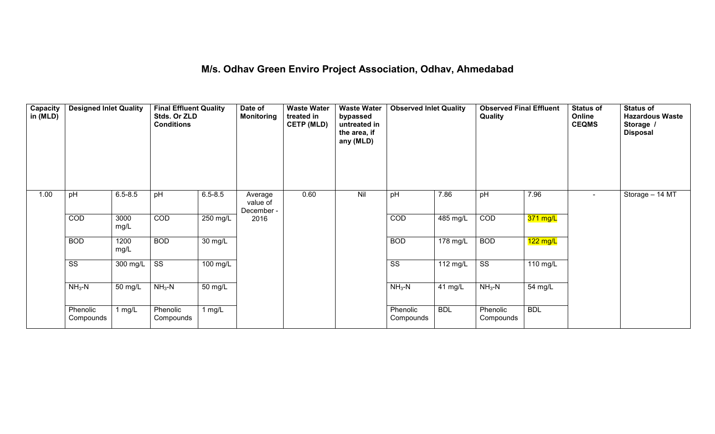#### **M/s. Odhav Green Enviro Project Association, Odhav, Ahmedabad**

| Capacity<br>in (MLD) | <b>Designed Inlet Quality</b> |              | <b>Final Effluent Quality</b><br>Stds. Or ZLD<br><b>Conditions</b> |                      | Date of<br><b>Monitoring</b>      | <b>Waste Water</b><br>treated in<br><b>CETP (MLD)</b> | <b>Waste Water</b><br>bypassed<br>untreated in<br>the area, if<br>any (MLD) | <b>Observed Inlet Quality</b> |            | <b>Observed Final Effluent</b><br>Quality |                    | Status of<br>Online<br><b>CEQMS</b> | <b>Status of</b><br><b>Hazardous Waste</b><br>Storage /<br><b>Disposal</b> |
|----------------------|-------------------------------|--------------|--------------------------------------------------------------------|----------------------|-----------------------------------|-------------------------------------------------------|-----------------------------------------------------------------------------|-------------------------------|------------|-------------------------------------------|--------------------|-------------------------------------|----------------------------------------------------------------------------|
| 1.00                 | pH                            | $6.5 - 8.5$  | pH                                                                 | $6.5 - 8.5$          | Average<br>value of<br>December - | 0.60                                                  | Nil                                                                         | pH                            | 7.86       | pH                                        | 7.96               | $\blacksquare$                      | Storage - 14 MT                                                            |
|                      | COD                           | 3000<br>mg/L | COD                                                                | 250 mg/L             | 2016                              |                                                       |                                                                             | COD                           | 485 mg/L   | COD                                       | 371 mg/L           |                                     |                                                                            |
|                      | <b>BOD</b>                    | 1200<br>mg/L | <b>BOD</b>                                                         | 30 mg/L              |                                   |                                                       |                                                                             | <b>BOD</b>                    | $178$ mg/L | <b>BOD</b>                                | $122 \text{ mg/L}$ |                                     |                                                                            |
|                      | $\overline{\text{SS}}$        | 300 mg/L     | $\overline{\text{SS}}$                                             | 100 mg/L             |                                   |                                                       |                                                                             | $\overline{\text{SS}}$        | 112 $mg/L$ | $\overline{\text{ss}}$                    | 110 mg/L           |                                     |                                                                            |
|                      | $NH3-N$                       | 50 mg/L      | $NH3-N$                                                            | $\overline{50}$ mg/L |                                   |                                                       |                                                                             | $NH3-N$                       | 41 mg/L    | $NH3-N$                                   | 54 mg/L            |                                     |                                                                            |
|                      | Phenolic<br>Compounds         | 1 $mg/L$     | Phenolic<br>Compounds                                              | 1 $mg/L$             |                                   |                                                       |                                                                             | Phenolic<br>Compounds         | <b>BDL</b> | Phenolic<br>Compounds                     | <b>BDL</b>         |                                     |                                                                            |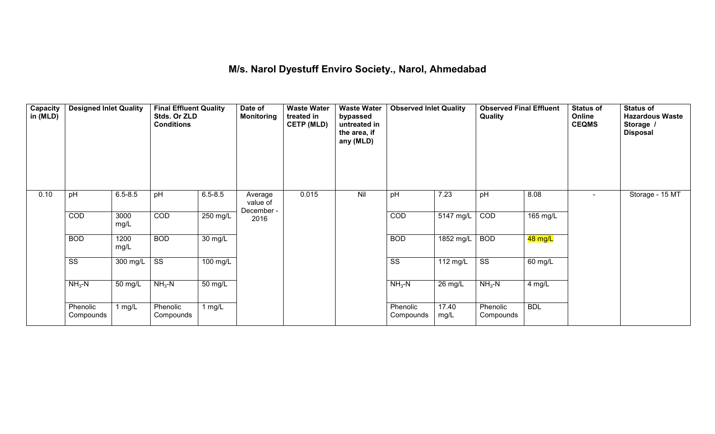#### **M/s. Narol Dyestuff Enviro Society., Narol, Ahmedabad**

| <b>Capacity</b><br>in (MLD) | <b>Designed Inlet Quality</b> |              | <b>Final Effluent Quality</b><br>Stds. Or ZLD<br><b>Conditions</b> |                   | Date of<br><b>Monitoring</b>      | <b>Waste Water</b><br>treated in<br><b>CETP (MLD)</b> | <b>Waste Water</b><br>bypassed<br>untreated in<br>the area, if<br>any (MLD) | <b>Observed Inlet Quality</b> |                     | <b>Observed Final Effluent</b><br>Quality |            | <b>Status of</b><br>Online<br><b>CEQMS</b> | <b>Status of</b><br><b>Hazardous Waste</b><br>Storage /<br><b>Disposal</b> |
|-----------------------------|-------------------------------|--------------|--------------------------------------------------------------------|-------------------|-----------------------------------|-------------------------------------------------------|-----------------------------------------------------------------------------|-------------------------------|---------------------|-------------------------------------------|------------|--------------------------------------------|----------------------------------------------------------------------------|
| 0.10                        | pH                            | $6.5 - 8.5$  | pH                                                                 | $6.5 - 8.5$       | Average<br>value of<br>December - | 0.015                                                 | Nil                                                                         | pH                            | 7.23                | pH                                        | 8.08       | $\sim$                                     | Storage - 15 MT                                                            |
|                             | COD                           | 3000<br>mg/L | COD                                                                | 250 mg/L          | 2016                              |                                                       |                                                                             | COD                           | $5147 \text{ mg/L}$ | COD                                       | 165 mg/L   |                                            |                                                                            |
|                             | <b>BOD</b>                    | 1200<br>mg/L | <b>BOD</b>                                                         | $30 \text{ mg/L}$ |                                   |                                                       |                                                                             | <b>BOD</b>                    | 1852 mg/L           | <b>BOD</b>                                | 48 mg/L    |                                            |                                                                            |
|                             | $\overline{\text{SS}}$        | 300 mg/L     | $\overline{\text{ss}}$                                             | $100$ mg/L        |                                   |                                                       |                                                                             | $\overline{\text{ss}}$        | 112 mg/L            | $\overline{\text{ss}}$                    | 60 mg/L    |                                            |                                                                            |
|                             | $NH3-N$                       | 50 mg/L      | $NH3-N$                                                            | 50 mg/L           |                                   |                                                       |                                                                             | $NH3-N$                       | 26 mg/L             | $NH3-N$                                   | 4 mg/L     |                                            |                                                                            |
|                             | Phenolic<br>Compounds         | 1 $mg/L$     | Phenolic<br>Compounds                                              | 1 $mg/L$          |                                   |                                                       |                                                                             | Phenolic<br>Compounds         | 17.40<br>mg/L       | Phenolic<br>Compounds                     | <b>BDL</b> |                                            |                                                                            |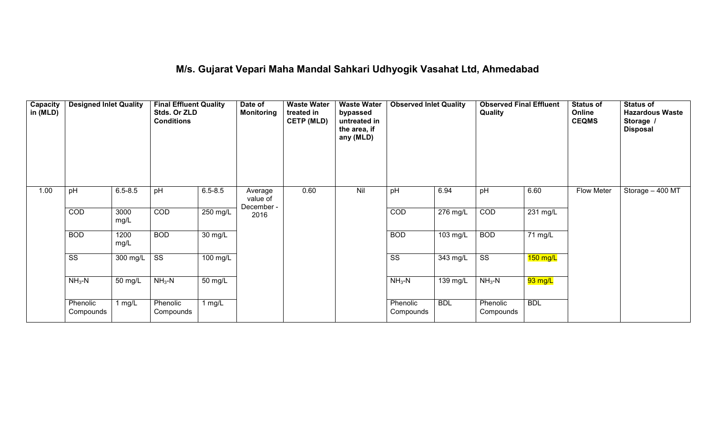### **M/s. Gujarat Vepari Maha Mandal Sahkari Udhyogik Vasahat Ltd, Ahmedabad**

| Capacity<br>in (MLD) | <b>Designed Inlet Quality</b> |              | <b>Final Effluent Quality</b><br>Stds. Or ZLD<br><b>Conditions</b> |             | Date of<br><b>Monitoring</b>      | <b>Waste Water</b><br>treated in<br><b>CETP (MLD)</b> | <b>Waste Water</b><br>bypassed<br>untreated in<br>the area, if<br>any (MLD) | <b>Observed Inlet Quality</b> |                    | <b>Observed Final Effluent</b><br>Quality |                    | <b>Status of</b><br>Online<br><b>CEQMS</b> | <b>Status of</b><br><b>Hazardous Waste</b><br>Storage /<br><b>Disposal</b> |
|----------------------|-------------------------------|--------------|--------------------------------------------------------------------|-------------|-----------------------------------|-------------------------------------------------------|-----------------------------------------------------------------------------|-------------------------------|--------------------|-------------------------------------------|--------------------|--------------------------------------------|----------------------------------------------------------------------------|
| 1.00                 | pH                            | $6.5 - 8.5$  | pH                                                                 | $6.5 - 8.5$ | Average<br>value of<br>December - | 0.60                                                  | Nil                                                                         | pH                            | 6.94               | pH                                        | 6.60               | Flow Meter                                 | Storage - 400 MT                                                           |
|                      | COD                           | 3000<br>mg/L | COD                                                                | 250 mg/L    | 2016                              |                                                       |                                                                             | COD                           | 276 mg/L           | COD                                       | $231 \text{ mg/L}$ |                                            |                                                                            |
|                      | <b>BOD</b>                    | 1200<br>mg/L | <b>BOD</b>                                                         | 30 mg/L     |                                   |                                                       |                                                                             | <b>BOD</b>                    | $103 \text{ mg/L}$ | <b>BOD</b>                                | 71 mg/L            |                                            |                                                                            |
|                      | $\overline{\text{SS}}$        | 300 mg/L     | $\overline{\text{ss}}$                                             | 100 mg/L    |                                   |                                                       |                                                                             | $\overline{\text{ss}}$        | 343 mg/L           | $\overline{\text{ss}}$                    | $150$ mg/L         |                                            |                                                                            |
|                      | $NH3-N$                       | 50 mg/L      | $NH3-N$                                                            | 50 mg/L     |                                   |                                                       |                                                                             | $NH3-N$                       | 139 mg/L           | $NH3-N$                                   | 93 mg/L            |                                            |                                                                            |
|                      | Phenolic<br>Compounds         | 1 $mg/L$     | Phenolic<br>Compounds                                              | 1 mg/L      |                                   |                                                       |                                                                             | Phenolic<br>Compounds         | <b>BDL</b>         | Phenolic<br>Compounds                     | <b>BDL</b>         |                                            |                                                                            |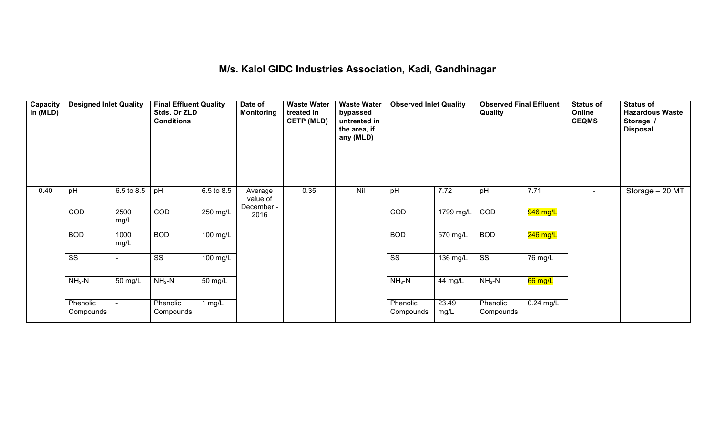#### **M/s. Kalol GIDC Industries Association, Kadi, Gandhinagar**

| Capacity<br>in (MLD) | <b>Designed Inlet Quality</b> |              | <b>Final Effluent Quality</b><br>Stds. Or ZLD<br><b>Conditions</b> |                       | Date of<br><b>Monitoring</b>      | <b>Waste Water</b><br>treated in<br><b>CETP (MLD)</b> | <b>Waste Water</b><br>bypassed<br>untreated in<br>the area, if<br>any (MLD) | <b>Observed Inlet Quality</b> |                       | <b>Observed Final Effluent</b><br><b>Quality</b> |                   | <b>Status of</b><br>Online<br><b>CEQMS</b> | <b>Status of</b><br><b>Hazardous Waste</b><br>Storage /<br><b>Disposal</b> |
|----------------------|-------------------------------|--------------|--------------------------------------------------------------------|-----------------------|-----------------------------------|-------------------------------------------------------|-----------------------------------------------------------------------------|-------------------------------|-----------------------|--------------------------------------------------|-------------------|--------------------------------------------|----------------------------------------------------------------------------|
| 0.40                 | pH                            | 6.5 to 8.5   | pH                                                                 | 6.5 to 8.5            | Average<br>value of<br>December - | 0.35                                                  | Nil                                                                         | pH                            | 7.72                  | pH                                               | 7.71              | $\blacksquare$                             | Storage - 20 MT                                                            |
|                      | <b>COD</b>                    | 2500<br>mg/L | COD                                                                | $250$ mg/L            | 2016                              |                                                       |                                                                             | COD                           | 1799 mg/L             | COD                                              | 946 mg/L          |                                            |                                                                            |
|                      | <b>BOD</b>                    | 1000<br>mg/L | <b>BOD</b>                                                         | $100$ mg/L            |                                   |                                                       |                                                                             | <b>BOD</b>                    | $\overline{570}$ mg/L | <b>BOD</b>                                       | $246$ mg/L        |                                            |                                                                            |
|                      | SS                            |              | SS                                                                 | $\overline{100}$ mg/L |                                   |                                                       |                                                                             | $\overline{\text{SS}}$        | 136 mg/L              | $\overline{\text{ss}}$                           | 76 mg/L           |                                            |                                                                            |
|                      | $NH3-N$                       | 50 mg/L      | $NH3-N$                                                            | 50 mg/L               |                                   |                                                       |                                                                             | $NH3-N$                       | 44 mg/L               | $NH3-N$                                          | $66 \text{ mg/L}$ |                                            |                                                                            |
|                      | Phenolic<br>Compounds         |              | Phenolic<br>Compounds                                              | 1 mg/L                |                                   |                                                       |                                                                             | Phenolic<br>Compounds         | 23.49<br>mg/L         | Phenolic<br>Compounds                            | $0.24$ mg/L       |                                            |                                                                            |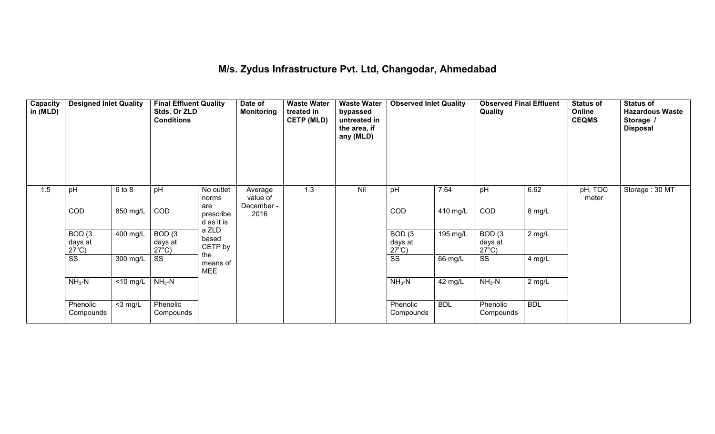#### **M/s. Zydus Infrastructure Pvt. Ltd, Changodar, Ahmedabad**

| Capacity<br>in (MLD) | <b>Designed Inlet Quality</b>        |                      | <b>Final Effluent Quality</b><br>Stds. Or ZLD<br><b>Conditions</b> |                                | Date of<br>Monitoring | <b>Waste Water</b><br>treated in<br><b>CETP (MLD)</b> | <b>Waste Water</b><br>bypassed<br>untreated in<br>the area, if<br>any (MLD) | <b>Observed Inlet Quality</b>        |                       | <b>Observed Final Effluent</b><br>Quality |            | Status of<br>Online<br><b>CEQMS</b> | <b>Status of</b><br><b>Hazardous Waste</b><br>Storage /<br><b>Disposal</b> |
|----------------------|--------------------------------------|----------------------|--------------------------------------------------------------------|--------------------------------|-----------------------|-------------------------------------------------------|-----------------------------------------------------------------------------|--------------------------------------|-----------------------|-------------------------------------------|------------|-------------------------------------|----------------------------------------------------------------------------|
| 1.5                  | pH                                   | $6$ to $8$           | pH                                                                 | No outlet<br>norms             | Average<br>value of   | 1.3                                                   | Nil                                                                         | pH                                   | 7.64                  | pH                                        | 6.62       | pH, TOC<br>meter                    | Storage: 30 MT                                                             |
|                      | COD                                  | 850 mg/L             | COD                                                                | are<br>prescribe<br>d as it is | December -<br>2016    |                                                       |                                                                             | COD                                  | $\overline{410}$ mg/L | COD                                       | 8 mg/L     |                                     |                                                                            |
|                      | BOD(3)<br>days at<br>$27^{\circ}$ C) | 400 mg/L             | BOD(3)<br>days at<br>$27^{\circ}$ C)                               | a ZLD<br>based<br>CETP by      |                       |                                                       |                                                                             | BOD(3)<br>days at<br>$27^{\circ}$ C) | 195 mg/L              | BOD(3)<br>days at<br>$27^{\circ}$ C)      | $2$ mg/L   |                                     |                                                                            |
|                      | $\overline{\text{SS}}$               | 300 mg/L             | SS                                                                 | the<br>means of<br><b>MEE</b>  |                       |                                                       |                                                                             | $\overline{\text{SS}}$               | 66 mg/L               | $\overline{\text{SS}}$                    | 4 mg/L     |                                     |                                                                            |
|                      | $NH3-N$                              | $\overline{10}$ mg/L | $NH3-N$                                                            |                                |                       |                                                       |                                                                             | $NH3-N$                              | 42 mg/L               | $NH3-N$                                   | $2$ mg/L   |                                     |                                                                            |
|                      | Phenolic<br>Compounds                | $<$ 3 mg/L           | Phenolic<br>Compounds                                              |                                |                       |                                                       |                                                                             | Phenolic<br>Compounds                | <b>BDL</b>            | Phenolic<br>Compounds                     | <b>BDL</b> |                                     |                                                                            |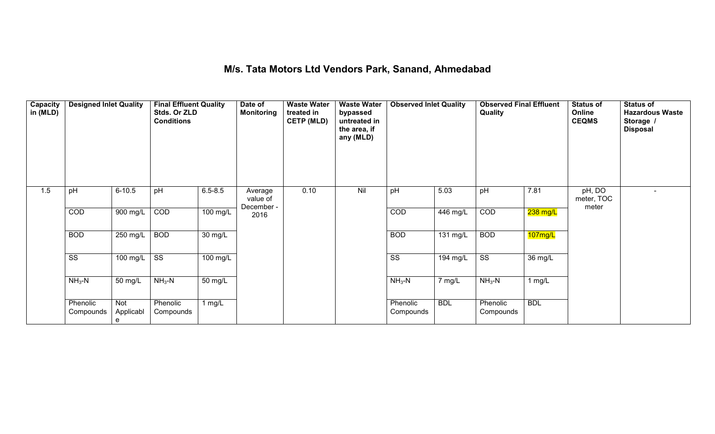### **M/s. Tata Motors Ltd Vendors Park, Sanand, Ahmedabad**

| Capacity<br>in (MLD) | <b>Designed Inlet Quality</b> |                              | <b>Final Effluent Quality</b><br>Stds. Or ZLD<br><b>Conditions</b> |                      | Date of<br><b>Monitoring</b>      | <b>Waste Water</b><br>treated in<br><b>CETP (MLD)</b> | <b>Waste Water</b><br>bypassed<br>untreated in<br>the area, if<br>any (MLD) | <b>Observed Inlet Quality</b> |                    | <b>Observed Final Effluent</b><br><b>Quality</b> |            | <b>Status of</b><br>Online<br><b>CEQMS</b> | <b>Status of</b><br><b>Hazardous Waste</b><br>Storage /<br><b>Disposal</b> |
|----------------------|-------------------------------|------------------------------|--------------------------------------------------------------------|----------------------|-----------------------------------|-------------------------------------------------------|-----------------------------------------------------------------------------|-------------------------------|--------------------|--------------------------------------------------|------------|--------------------------------------------|----------------------------------------------------------------------------|
| 1.5                  | pH                            | $6 - 10.5$                   | pH                                                                 | $6.5 - 8.5$          | Average<br>value of<br>December - | 0.10                                                  | Nil                                                                         | pH                            | 5.03               | pH                                               | 7.81       | pH, DO<br>meter, TOC                       | $\overline{\phantom{a}}$                                                   |
|                      | COD                           | 900 mg/L                     | COD                                                                | 100 mg/L             | 2016                              |                                                       |                                                                             | COD                           | 446 mg/L           | COD                                              | $238$ mg/L | meter                                      |                                                                            |
|                      | <b>BOD</b>                    | 250 mg/L                     | <b>BOD</b>                                                         | $\overline{30}$ mg/L |                                   |                                                       |                                                                             | <b>BOD</b>                    | $131 \text{ mg/L}$ | <b>BOD</b>                                       | 107mg/L    |                                            |                                                                            |
|                      | SS                            | 100 mg/L                     | SS                                                                 | 100 mg/L             |                                   |                                                       |                                                                             | SS                            | 194 mg/L           | SS                                               | 36 mg/L    |                                            |                                                                            |
|                      | $NH3-N$                       | 50 mg/L                      | $NH3-N$                                                            | 50 mg/L              |                                   |                                                       |                                                                             | $NH3-N$                       | 7 mg/L             | $NH3-N$                                          | 1 $mg/L$   |                                            |                                                                            |
|                      | Phenolic<br>Compounds         | <b>Not</b><br>Applicabl<br>e | Phenolic<br>Compounds                                              | 1 $mg/L$             |                                   |                                                       |                                                                             | Phenolic<br>Compounds         | <b>BDL</b>         | Phenolic<br>Compounds                            | <b>BDL</b> |                                            |                                                                            |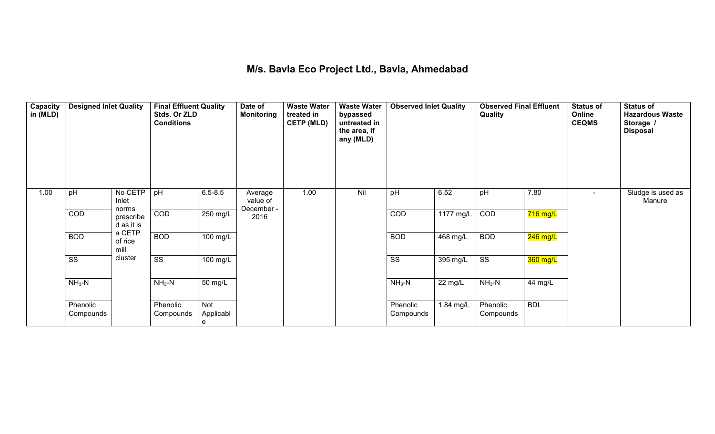#### **M/s. Bavla Eco Project Ltd., Bavla, Ahmedabad**

| Capacity<br>in (MLD) | <b>Designed Inlet Quality</b> |                                  | <b>Final Effluent Quality</b><br>Stds. Or ZLD<br><b>Conditions</b> |                       | Date of<br><b>Monitoring</b>      | <b>Waste Water</b><br>treated in<br><b>CETP (MLD)</b> | <b>Waste Water</b><br>bypassed<br>untreated in<br>the area, if<br>any (MLD) | <b>Observed Inlet Quality</b> |            | <b>Observed Final Effluent</b><br>Quality |            | <b>Status of</b><br>Online<br><b>CEQMS</b> | <b>Status of</b><br><b>Hazardous Waste</b><br>Storage /<br><b>Disposal</b> |
|----------------------|-------------------------------|----------------------------------|--------------------------------------------------------------------|-----------------------|-----------------------------------|-------------------------------------------------------|-----------------------------------------------------------------------------|-------------------------------|------------|-------------------------------------------|------------|--------------------------------------------|----------------------------------------------------------------------------|
| 1.00                 | pH                            | No CETP<br>Inlet                 | pH                                                                 | $6.5 - 8.5$           | Average<br>value of<br>December - | 1.00                                                  | Nil                                                                         | pH                            | 6.52       | pH                                        | 7.80       |                                            | Sludge is used as<br>Manure                                                |
|                      | COD                           | norms<br>prescribe<br>d as it is | COD                                                                | $250$ mg/L            | 2016                              |                                                       |                                                                             | COD                           | 1177 mg/L  | COD                                       | $716$ mg/L |                                            |                                                                            |
|                      | <b>BOD</b>                    | a CETP<br>of rice<br>mill        | <b>BOD</b>                                                         | $\overline{100}$ mg/L |                                   |                                                       |                                                                             | <b>BOD</b>                    | $468$ mg/L | <b>BOD</b>                                | 246 mg/L   |                                            |                                                                            |
|                      | $\overline{\text{SS}}$        | cluster                          | $\overline{\text{SS}}$                                             | $100$ mg/L            |                                   |                                                       |                                                                             | $\overline{\text{ss}}$        | 395 mg/L   | $\overline{\text{ss}}$                    | $360$ mg/L |                                            |                                                                            |
|                      | $NH3-N$                       |                                  | $NH3-N$                                                            | 50 mg/L               |                                   |                                                       |                                                                             | $NH3-N$                       | 22 mg/L    | $NH3-N$                                   | 44 mg/L    |                                            |                                                                            |
|                      | Phenolic<br>Compounds         |                                  | Phenolic<br>Compounds                                              | Not<br>Applicabl<br>e |                                   |                                                       |                                                                             | Phenolic<br>Compounds         | 1.84 mg/L  | Phenolic<br>Compounds                     | <b>BDL</b> |                                            |                                                                            |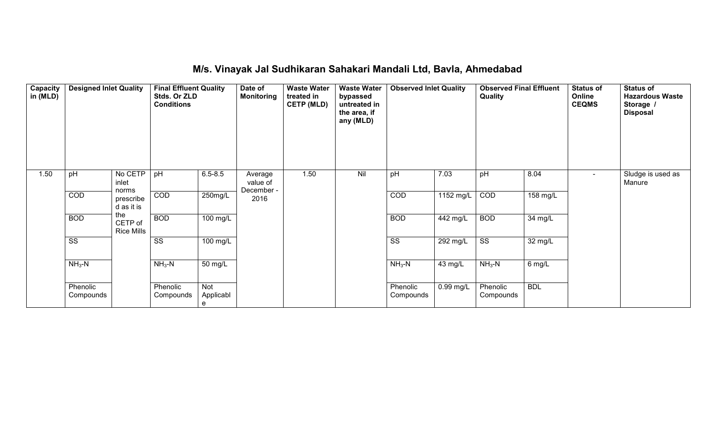| Capacity<br>in (MLD) | <b>Designed Inlet Quality</b><br><b>Final Effluent Quality</b><br>Stds. Or ZLD<br><b>Conditions</b> |                                     | Date of<br><b>Monitoring</b> | <b>Waste Water</b><br>treated in<br><b>CETP (MLD)</b> | <b>Waste Water</b><br>bypassed<br>untreated in<br>the area, if<br>any (MLD) | <b>Observed Inlet Quality</b> |         | <b>Observed Final Effluent</b><br>Quality |                        | <b>Status of</b><br>Online<br><b>CEQMS</b> | <b>Status of</b><br><b>Hazardous Waste</b><br>Storage /<br><b>Disposal</b> |                          |                             |
|----------------------|-----------------------------------------------------------------------------------------------------|-------------------------------------|------------------------------|-------------------------------------------------------|-----------------------------------------------------------------------------|-------------------------------|---------|-------------------------------------------|------------------------|--------------------------------------------|----------------------------------------------------------------------------|--------------------------|-----------------------------|
| 1.50                 | pH                                                                                                  | No CETP<br>inlet                    | pH                           | $6.5 - 8.5$                                           | Average<br>value of<br>December -                                           | 1.50                          | Nil     | pH                                        | 7.03                   | pH                                         | 8.04                                                                       | $\overline{\phantom{a}}$ | Sludge is used as<br>Manure |
|                      | COD                                                                                                 | norms<br>prescribe<br>d as it is    | COD                          | 250mg/L                                               | 2016                                                                        |                               |         | COD                                       | $1152$ mg/L            | COD                                        | 158 mg/L                                                                   |                          |                             |
|                      | <b>BOD</b>                                                                                          | the<br>CETP of<br><b>Rice Mills</b> | <b>BOD</b>                   | $100$ mg/L                                            |                                                                             |                               |         | <b>BOD</b>                                | 442 mg/L               | <b>BOD</b>                                 | 34 mg/L                                                                    |                          |                             |
|                      | $\overline{\text{ss}}$                                                                              |                                     | $\overline{\text{SS}}$       | 100 mg/L                                              |                                                                             |                               |         | $\overline{\text{SS}}$                    | $\overline{29}$ 2 mg/L | $\overline{\text{SS}}$                     | 32 mg/L                                                                    |                          |                             |
|                      | $NH3-N$                                                                                             |                                     | $NH3-N$<br>50 mg/L           |                                                       |                                                                             | $NH3-N$                       | 43 mg/L | $NH3-N$                                   | 6 mg/L                 |                                            |                                                                            |                          |                             |
|                      | Phenolic<br>Compounds                                                                               |                                     | Phenolic<br>Compounds        | Not<br>Applicabl<br>e                                 |                                                                             |                               |         | Phenolic<br>Compounds                     | 0.99 mg/L              | Phenolic<br>Compounds                      | <b>BDL</b>                                                                 |                          |                             |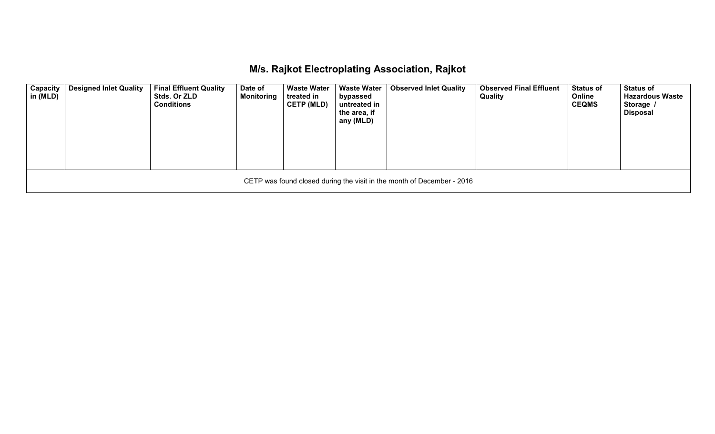## **M/s. Rajkot Electroplating Association, Rajkot**

| Capacity<br>in (MLD) | <b>Designed Inlet Quality</b>                                          | <b>Final Effluent Quality</b><br>Stds. Or ZLD<br><b>Conditions</b> | Date of<br><b>Monitoring</b> | <b>Waste Water</b><br>treated in<br><b>CETP (MLD)</b> | <b>Waste Water</b><br>bypassed<br>untreated in<br>the area, if<br>any (MLD) | <b>Observed Inlet Quality</b> | <b>Observed Final Effluent</b><br>Quality | <b>Status of</b><br>Online<br><b>CEQMS</b> | <b>Status of</b><br><b>Hazardous Waste</b><br>Storage /<br>Disposal |  |  |  |  |
|----------------------|------------------------------------------------------------------------|--------------------------------------------------------------------|------------------------------|-------------------------------------------------------|-----------------------------------------------------------------------------|-------------------------------|-------------------------------------------|--------------------------------------------|---------------------------------------------------------------------|--|--|--|--|
|                      | CETP was found closed during the visit in the month of December - 2016 |                                                                    |                              |                                                       |                                                                             |                               |                                           |                                            |                                                                     |  |  |  |  |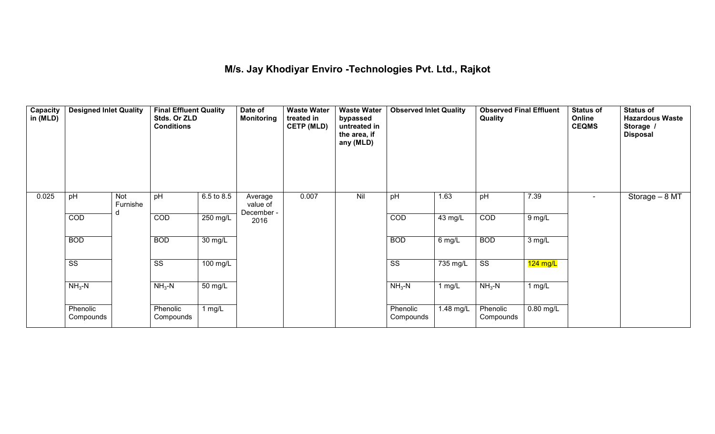#### **M/s. Jay Khodiyar Enviro -Technologies Pvt. Ltd., Rajkot**

| Capacity<br>in (MLD) | <b>Designed Inlet Quality</b> |                 | <b>Final Effluent Quality</b><br>Stds. Or ZLD<br><b>Conditions</b> |                   | Date of<br><b>Monitoring</b> | <b>Waste Water</b><br>treated in<br><b>CETP (MLD)</b> | <b>Waste Water</b><br>bypassed<br>untreated in<br>the area, if<br>any (MLD) | <b>Observed Inlet Quality</b> |                    | <b>Observed Final Effluent</b><br>Quality |             | <b>Status of</b><br>Online<br><b>CEQMS</b> | <b>Status of</b><br><b>Hazardous Waste</b><br>Storage /<br><b>Disposal</b> |
|----------------------|-------------------------------|-----------------|--------------------------------------------------------------------|-------------------|------------------------------|-------------------------------------------------------|-----------------------------------------------------------------------------|-------------------------------|--------------------|-------------------------------------------|-------------|--------------------------------------------|----------------------------------------------------------------------------|
| 0.025                | pH                            | Not<br>Furnishe | pH                                                                 | 6.5 to 8.5        | Average<br>value of          | 0.007                                                 | Nil                                                                         | pH                            | 1.63               | pH                                        | 7.39        | $\blacksquare$                             | Storage - 8 MT                                                             |
|                      | COD                           | d               | COD                                                                | 250 mg/L          | December -<br>2016           |                                                       |                                                                             | COD                           | 43 mg/L            | COD                                       | $9$ mg/L    |                                            |                                                                            |
|                      | <b>BOD</b>                    |                 | <b>BOD</b>                                                         | $30 \text{ mg/L}$ |                              |                                                       |                                                                             | <b>BOD</b>                    | 6 mg/L             | <b>BOD</b>                                | 3 mg/L      |                                            |                                                                            |
|                      | $\overline{\text{SS}}$        |                 | $\overline{\text{ss}}$                                             | 100 mg/L          |                              |                                                       |                                                                             | $\overline{\text{ss}}$        | $735 \text{ mg/L}$ | $\overline{\text{SS}}$                    | $124$ mg/L  |                                            |                                                                            |
|                      | $NH3-N$                       |                 | $NH3-N$                                                            | 50 mg/L           |                              |                                                       |                                                                             | $NH3-N$                       | $1$ mg/L           | $NH3-N$                                   | $1$ mg/L    |                                            |                                                                            |
|                      | Phenolic<br>Compounds         |                 | Phenolic<br>Compounds                                              | 1 mg/L            |                              |                                                       |                                                                             | Phenolic<br>Compounds         | 1.48 mg/L          | Phenolic<br>Compounds                     | $0.80$ mg/L |                                            |                                                                            |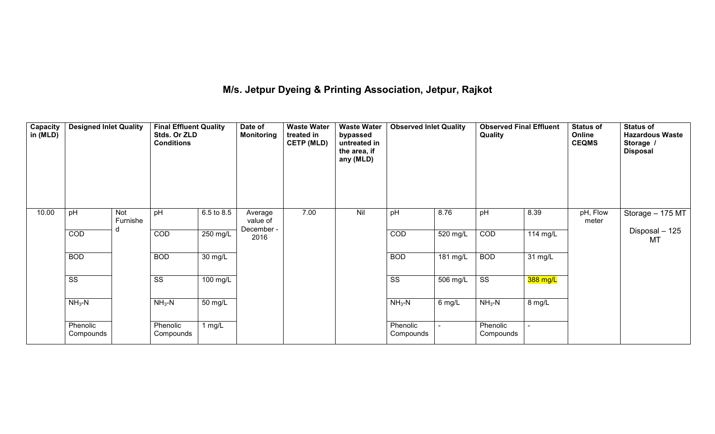**M/s. Jetpur Dyeing & Printing Association, Jetpur, Rajkot** 

| Capacity<br>in (MLD) | <b>Designed Inlet Quality</b> |                 | <b>Final Effluent Quality</b><br>Stds. Or ZLD<br><b>Conditions</b> |                      | Date of<br><b>Monitoring</b> | <b>Waste Water</b><br>treated in<br><b>CETP (MLD)</b> | <b>Waste Water</b><br>bypassed<br>untreated in<br>the area, if<br>any (MLD) | <b>Observed Inlet Quality</b> |                    | <b>Observed Final Effluent</b><br>Quality |          | <b>Status of</b><br>Online<br><b>CEQMS</b> | <b>Status of</b><br><b>Hazardous Waste</b><br>Storage /<br><b>Disposal</b> |
|----------------------|-------------------------------|-----------------|--------------------------------------------------------------------|----------------------|------------------------------|-------------------------------------------------------|-----------------------------------------------------------------------------|-------------------------------|--------------------|-------------------------------------------|----------|--------------------------------------------|----------------------------------------------------------------------------|
| 10.00                | pH                            | Not<br>Furnishe | pH                                                                 | 6.5 to 8.5           | Average<br>value of          | 7.00                                                  | Nil                                                                         | pH                            | 8.76               | pH                                        | 8.39     | pH, Flow<br>meter                          | Storage - 175 MT                                                           |
|                      | COD                           |                 | COD                                                                | $250$ mg/L           | December -<br>2016           |                                                       |                                                                             | COD                           | 520 mg/L           | COD                                       | 114 mg/L |                                            | Disposal - 125<br><b>MT</b>                                                |
|                      | <b>BOD</b>                    |                 | <b>BOD</b>                                                         | $\overline{30}$ mg/L |                              |                                                       |                                                                             | <b>BOD</b>                    | $181 \text{ mg/L}$ | <b>BOD</b>                                | 31 mg/L  |                                            |                                                                            |
|                      | $\overline{\text{ss}}$        |                 | SS                                                                 | 100 mg/L             |                              |                                                       |                                                                             | SS                            | 506 mg/L           | $\overline{\text{ss}}$                    | 388 mg/L |                                            |                                                                            |
|                      | $NH3-N$                       |                 | $NH3-N$                                                            | $50 \text{ mg/L}$    |                              |                                                       |                                                                             | $NH3-N$                       | 6 mg/L             | $NH3-N$                                   | 8 mg/L   |                                            |                                                                            |
|                      | Phenolic<br>Compounds         |                 | Phenolic<br>Compounds                                              | 1 mg/L               |                              |                                                       |                                                                             | Phenolic<br>Compounds         |                    | Phenolic<br>Compounds                     |          |                                            |                                                                            |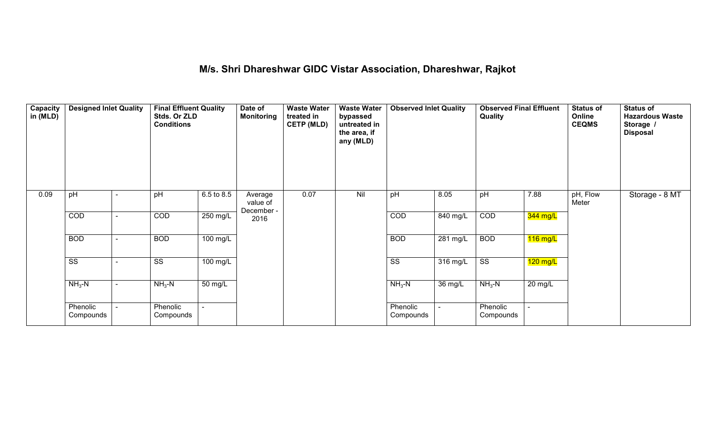#### **M/s. Shri Dhareshwar GIDC Vistar Association, Dhareshwar, Rajkot**

| <b>Capacity</b><br>in (MLD) | <b>Designed Inlet Quality</b> |                          | <b>Final Effluent Quality</b><br>Stds. Or ZLD<br><b>Conditions</b> |                          | Date of<br><b>Monitoring</b>      | <b>Waste Water</b><br>treated in<br><b>CETP (MLD)</b> | <b>Waste Water</b><br>bypassed<br>untreated in<br>the area, if<br>any (MLD) | <b>Observed Inlet Quality</b> |          | <b>Observed Final Effluent</b><br>Quality |            | <b>Status of</b><br>Online<br><b>CEQMS</b> | <b>Status of</b><br><b>Hazardous Waste</b><br>Storage /<br><b>Disposal</b> |
|-----------------------------|-------------------------------|--------------------------|--------------------------------------------------------------------|--------------------------|-----------------------------------|-------------------------------------------------------|-----------------------------------------------------------------------------|-------------------------------|----------|-------------------------------------------|------------|--------------------------------------------|----------------------------------------------------------------------------|
| 0.09                        | pH                            |                          | pH                                                                 | 6.5 to 8.5               | Average<br>value of<br>December - | 0.07                                                  | Nil                                                                         | pH                            | 8.05     | pH                                        | 7.88       | pH, Flow<br>Meter                          | Storage - 8 MT                                                             |
|                             | COD                           | $\overline{\phantom{0}}$ | COD                                                                | 250 mg/L                 | 2016                              |                                                       |                                                                             | COD                           | 840 mg/L | COD                                       | $344$ mg/L |                                            |                                                                            |
|                             | <b>BOD</b>                    | $\blacksquare$           | <b>BOD</b>                                                         | 100 mg/L                 |                                   |                                                       |                                                                             | <b>BOD</b>                    | 281 mg/L | <b>BOD</b>                                | $116$ mg/L |                                            |                                                                            |
|                             | $\overline{\text{SS}}$        |                          | $\overline{\text{SS}}$                                             | 100 mg/L                 |                                   |                                                       |                                                                             | $\overline{\text{SS}}$        | 316 mg/L | $\overline{\text{ss}}$                    | $120$ mg/L |                                            |                                                                            |
|                             | $NH3-N$                       |                          | $NH3-N$                                                            | 50 mg/L                  |                                   |                                                       |                                                                             | $NH3-N$                       | 36 mg/L  | $NH3-N$                                   | 20 mg/L    |                                            |                                                                            |
|                             | Phenolic<br>Compounds         | $\overline{a}$           | Phenolic<br>Compounds                                              | $\overline{\phantom{0}}$ |                                   |                                                       |                                                                             | Phenolic<br>Compounds         | ٠        | Phenolic<br>Compounds                     |            |                                            |                                                                            |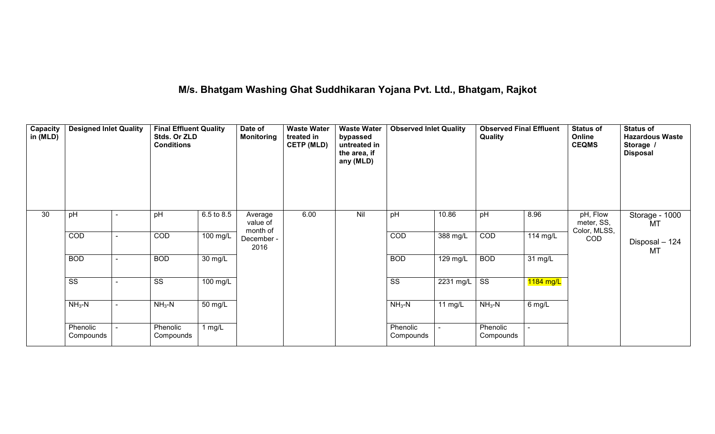## **M/s. Bhatgam Washing Ghat Suddhikaran Yojana Pvt. Ltd., Bhatgam, Rajkot**

| <b>Capacity</b><br>in (MLD) | <b>Designed Inlet Quality</b> |  | <b>Final Effluent Quality</b><br>Stds. Or ZLD<br><b>Conditions</b> |                      | Date of<br><b>Monitoring</b>    | <b>Waste Water</b><br>treated in<br><b>CETP (MLD)</b> | bypassed<br>untreated in<br>the area, if<br>any (MLD)<br>Nil | <b>Observed Inlet Quality</b> |                    | <b>Observed Final Effluent</b><br>Quality |                    | <b>Status of</b><br>Online<br><b>CEQMS</b> | <b>Status of</b><br><b>Hazardous Waste</b><br>Storage /<br><b>Disposal</b> |
|-----------------------------|-------------------------------|--|--------------------------------------------------------------------|----------------------|---------------------------------|-------------------------------------------------------|--------------------------------------------------------------|-------------------------------|--------------------|-------------------------------------------|--------------------|--------------------------------------------|----------------------------------------------------------------------------|
| 30                          | pH                            |  | pH                                                                 | 6.5 to 8.5           | Average<br>value of<br>month of | 6.00                                                  |                                                              | pH                            | 10.86              | pH                                        | 8.96               | pH, Flow<br>meter, SS,<br>Color, MLSS,     | Storage - 1000<br><b>MT</b>                                                |
|                             | COD                           |  | COD                                                                | 100 mg/L             | December -<br>2016              |                                                       |                                                              | COD                           | 388 mg/L           | COD                                       | $114 \text{ mg/L}$ | COD                                        | Disposal - 124<br><b>MT</b>                                                |
|                             | <b>BOD</b>                    |  | <b>BOD</b>                                                         | $30 \text{ mg/L}$    |                                 |                                                       |                                                              | <b>BOD</b>                    | 129 mg/L           | <b>BOD</b>                                | 31 mg/L            |                                            |                                                                            |
|                             | $\overline{\text{ss}}$        |  | $\overline{\text{SS}}$                                             | $100$ mg/L           |                                 |                                                       |                                                              | $\overline{\text{SS}}$        | $\sqrt{2231}$ mg/L | $\overline{\text{ss}}$                    | 1184 mg/L          |                                            |                                                                            |
|                             | $NH3-N$                       |  | $NH3-N$                                                            | $\overline{50}$ mg/L |                                 |                                                       |                                                              | $NH3-N$                       | $11$ mg/L          | $NH3-N$                                   | 6 mg/L             |                                            |                                                                            |
|                             | Phenolic<br>Compounds         |  | Phenolic<br>Compounds                                              | 1 $mg/L$             |                                 |                                                       |                                                              | Phenolic<br>Compounds         |                    | Phenolic<br>Compounds                     |                    |                                            |                                                                            |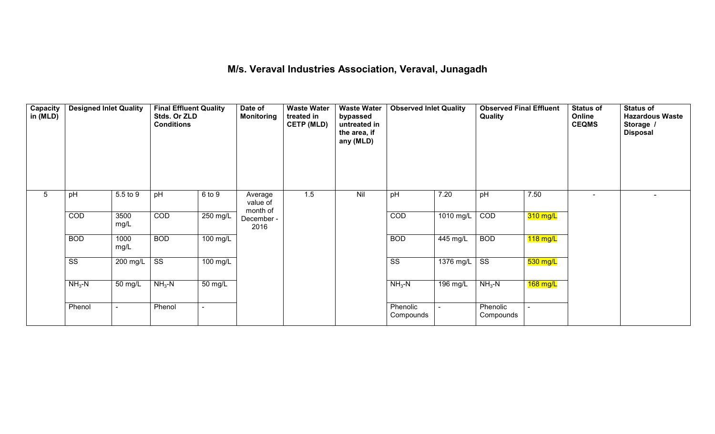#### **M/s. Veraval Industries Association, Veraval, Junagadh**

| Capacity<br>in (MLD) | <b>Designed Inlet Quality</b> |                | <b>Final Effluent Quality</b><br>Stds. Or ZLD<br><b>Conditions</b> |                    | Date of<br><b>Monitoring</b>    | <b>Waste Water</b><br>treated in<br><b>CETP (MLD)</b> | <b>Waste Water</b><br>bypassed<br>untreated in<br>the area, if<br>any (MLD) | <b>Observed Inlet Quality</b> |             | <b>Observed Final Effluent</b><br>Quality |            | <b>Status of</b><br>Online<br><b>CEQMS</b> | <b>Status of</b><br><b>Hazardous Waste</b><br>Storage /<br><b>Disposal</b> |
|----------------------|-------------------------------|----------------|--------------------------------------------------------------------|--------------------|---------------------------------|-------------------------------------------------------|-----------------------------------------------------------------------------|-------------------------------|-------------|-------------------------------------------|------------|--------------------------------------------|----------------------------------------------------------------------------|
| 5                    | pH                            | 5.5 to 9       | pH                                                                 | 6 to 9             | Average<br>value of<br>month of | 1.5                                                   | Nil                                                                         | pH                            | 7.20        | pH                                        | 7.50       |                                            |                                                                            |
|                      | COD                           | 3500<br>mg/L   | COD                                                                | 250 mg/L           | December -<br>2016              |                                                       |                                                                             | COD                           | 1010 mg/L   | COD                                       | $310$ mg/L |                                            |                                                                            |
|                      | <b>BOD</b>                    | 1000<br>mg/L   | <b>BOD</b>                                                         | 100 mg/L           |                                 |                                                       |                                                                             | <b>BOD</b>                    | 445 mg/L    | <b>BOD</b>                                | $118$ mg/L |                                            |                                                                            |
|                      | $\overline{\text{ss}}$        | 200 mg/L       | $\overline{\text{ss}}$                                             | $100 \text{ mg/L}$ |                                 |                                                       |                                                                             | $\overline{\text{ss}}$        | $1376$ mg/L | $\overline{\text{ss}}$                    | $530$ mg/L |                                            |                                                                            |
|                      | $NH3-N$                       | 50 mg/L        | $NH3-N$                                                            | 50 mg/L            |                                 |                                                       |                                                                             | $NH3-N$                       | 196 mg/L    | $NH3-N$                                   | 168 mg/L   |                                            |                                                                            |
|                      | Phenol                        | $\blacksquare$ | Phenol                                                             | $\blacksquare$     |                                 |                                                       |                                                                             | Phenolic<br>Compounds         |             | Phenolic<br>Compounds                     |            |                                            |                                                                            |